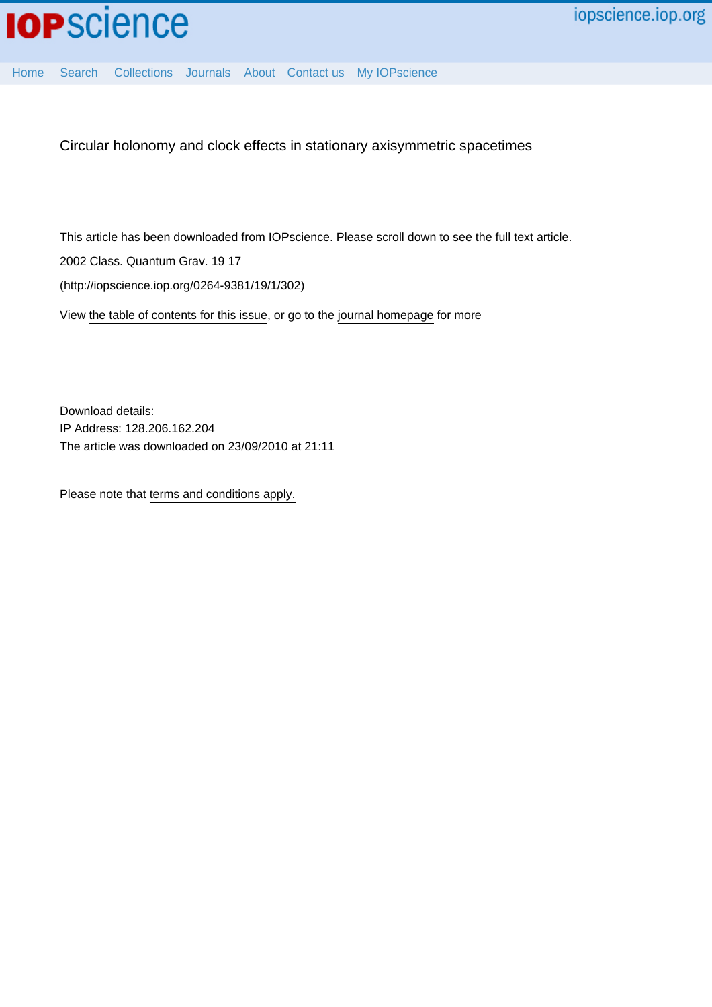

[Home](http://iopscience.iop.org/) [Search](http://iopscience.iop.org/search) [Collections](http://iopscience.iop.org/collections) [Journals](http://iopscience.iop.org/journals) [About](http://iopscience.iop.org/page/aboutioppublishing) [Contact us](http://iopscience.iop.org/contact) [My IOPscience](http://iopscience.iop.org/myiopscience)

Circular holonomy and clock effects in stationary axisymmetric spacetimes

This article has been downloaded from IOPscience. Please scroll down to see the full text article.

2002 Class. Quantum Grav. 19 17

(http://iopscience.iop.org/0264-9381/19/1/302)

View [the table of contents for this issue](http://iopscience.iop.org/0264-9381/19/1), or go to the [journal homepage](http://iopscience.iop.org/0264-9381) for more

Download details: IP Address: 128.206.162.204 The article was downloaded on 23/09/2010 at 21:11

Please note that [terms and conditions apply.](http://iopscience.iop.org/page/terms)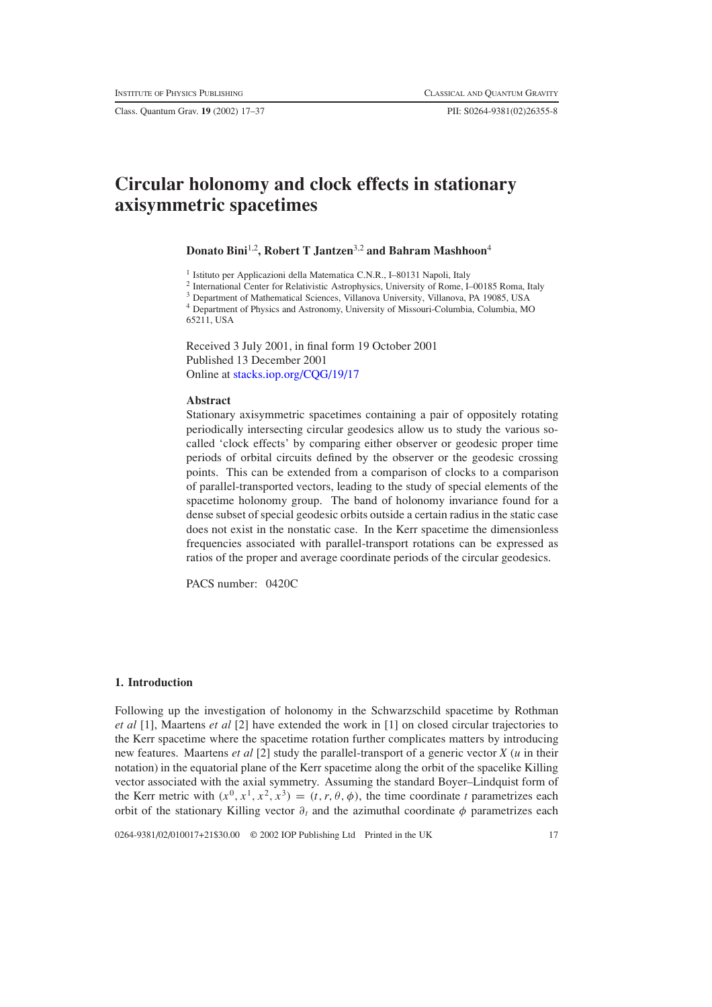Class. Quantum Grav. **19** (2002) 17–37 PII: S0264-9381(02)26355-8

# **Circular holonomy and clock effects in stationary axisymmetric spacetimes**

## **Donato Bini**1,2**, Robert T Jantzen**3,2 **and Bahram Mashhoon**<sup>4</sup>

<sup>1</sup> Istituto per Applicazioni della Matematica C.N.R., I–80131 Napoli, Italy

<sup>2</sup> International Center for Relativistic Astrophysics, University of Rome, I–00185 Roma, Italy

<sup>3</sup> Department of Mathematical Sciences, Villanova University, Villanova, PA 19085, USA

<sup>4</sup> Department of Physics and Astronomy, University of Missouri-Columbia, Columbia, MO 65211, USA

Received 3 July 2001, in final form 19 October 2001 Published 13 December 2001 Online at [stacks.iop.org/CQG/19/17](http://stacks.iop.org/cq/19/17)

## **Abstract**

Stationary axisymmetric spacetimes containing a pair of oppositely rotating periodically intersecting circular geodesics allow us to study the various socalled 'clock effects' by comparing either observer or geodesic proper time periods of orbital circuits defined by the observer or the geodesic crossing points. This can be extended from a comparison of clocks to a comparison of parallel-transported vectors, leading to the study of special elements of the spacetime holonomy group. The band of holonomy invariance found for a dense subset of special geodesic orbits outside a certain radius in the static case does not exist in the nonstatic case. In the Kerr spacetime the dimensionless frequencies associated with parallel-transport rotations can be expressed as ratios of the proper and average coordinate periods of the circular geodesics.

PACS number: 0420C

## **1. Introduction**

Following up the investigation of holonomy in the Schwarzschild spacetime by Rothman *et al* [1], Maartens *et al* [2] have extended the work in [1] on closed circular trajectories to the Kerr spacetime where the spacetime rotation further complicates matters by introducing new features. Maartens *et al* [2] study the parallel-transport of a generic vector *X* (*u* in their notation) in the equatorial plane of the Kerr spacetime along the orbit of the spacelike Killing vector associated with the axial symmetry. Assuming the standard Boyer–Lindquist form of the Kerr metric with  $(x^0, x^1, x^2, x^3) = (t, r, \theta, \phi)$ , the time coordinate *t* parametrizes each orbit of the stationary Killing vector  $\partial_t$  and the azimuthal coordinate  $\phi$  parametrizes each

0264-9381/02/010017+21\$30.00 © 2002 IOP Publishing Ltd Printed in the UK 17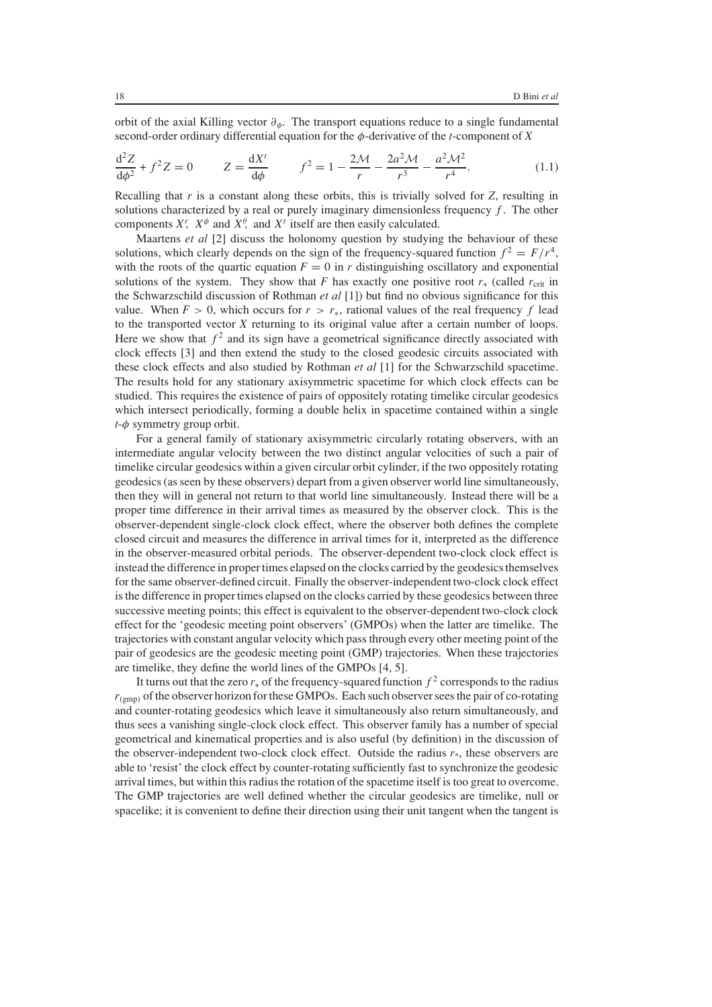orbit of the axial Killing vector  $\partial_{\phi}$ . The transport equations reduce to a single fundamental second-order ordinary differential equation for the φ-derivative of the *<sup>t</sup>*-component of *<sup>X</sup>*

$$
\frac{d^2 Z}{d\phi^2} + f^2 Z = 0 \t Z = \frac{dX^t}{d\phi} \t f^2 = 1 - \frac{2\mathcal{M}}{r} - \frac{2a^2 \mathcal{M}}{r^3} - \frac{a^2 \mathcal{M}^2}{r^4}.
$$
(1.1)

Recalling that *r* is a constant along these orbits, this is trivially solved for *Z*, resulting in solutions characterized by a real or purely imaginary dimensionless frequency  $f$ . The other components  $X^r$ ,  $X^{\phi}$  and  $X^{\phi}$  and  $X^t$  itself are then easily calculated.<br>Maartens *et al.* [2] discuss the holonomy question by studying

Maartens *et al* [2] discuss the holonomy question by studying the behaviour of these solutions, which clearly depends on the sign of the frequency-squared function  $f^2 = F/r^4$ , with the roots of the quartic equation  $F = 0$  in *r* distinguishing oscillatory and exponential solutions of the system. They show that *F* has exactly one positive root  $r_*$  (called  $r_{crit}$  in the Schwarzschild discussion of Rothman *et al* [1]) but find no obvious significance for this value. When  $F > 0$ , which occurs for  $r > r<sub>*</sub>$ , rational values of the real frequency f lead to the transported vector *X* returning to its original value after a certain number of loops. Here we show that  $f^2$  and its sign have a geometrical significance directly associated with clock effects [3] and then extend the study to the closed geodesic circuits associated with these clock effects and also studied by Rothman *et al* [1] for the Schwarzschild spacetime. The results hold for any stationary axisymmetric spacetime for which clock effects can be studied. This requires the existence of pairs of oppositely rotating timelike circular geodesics which intersect periodically, forming a double helix in spacetime contained within a single *<sup>t</sup>*-φ symmetry group orbit.

For a general family of stationary axisymmetric circularly rotating observers, with an intermediate angular velocity between the two distinct angular velocities of such a pair of timelike circular geodesics within a given circular orbit cylinder, if the two oppositely rotating geodesics (as seen by these observers) depart from a given observer world line simultaneously, then they will in general not return to that world line simultaneously. Instead there will be a proper time difference in their arrival times as measured by the observer clock. This is the observer-dependent single-clock clock effect, where the observer both defines the complete closed circuit and measures the difference in arrival times for it, interpreted as the difference in the observer-measured orbital periods. The observer-dependent two-clock clock effect is instead the difference in proper times elapsed on the clocks carried by the geodesics themselves for the same observer-defined circuit. Finally the observer-independent two-clock clock effect is the difference in proper times elapsed on the clocks carried by these geodesics between three successive meeting points; this effect is equivalent to the observer-dependent two-clock clock effect for the 'geodesic meeting point observers' (GMPOs) when the latter are timelike. The trajectories with constant angular velocity which pass through every other meeting point of the pair of geodesics are the geodesic meeting point (GMP) trajectories. When these trajectories are timelike, they define the world lines of the GMPOs [4, 5].

It turns out that the zero  $r_*$  of the frequency-squared function  $f^2$  corresponds to the radius  $r_{(g_{\text{mno}})}$  of the observer horizon for these GMPOs. Each such observer sees the pair of co-rotating and counter-rotating geodesics which leave it simultaneously also return simultaneously, and thus sees a vanishing single-clock clock effect. This observer family has a number of special geometrical and kinematical properties and is also useful (by definition) in the discussion of the observer-independent two-clock clock effect. Outside the radius  $r^*$ , these observers are able to 'resist' the clock effect by counter-rotating sufficiently fast to synchronize the geodesic arrival times, but within this radius the rotation of the spacetime itself is too great to overcome. The GMP trajectories are well defined whether the circular geodesics are timelike, null or spacelike; it is convenient to define their direction using their unit tangent when the tangent is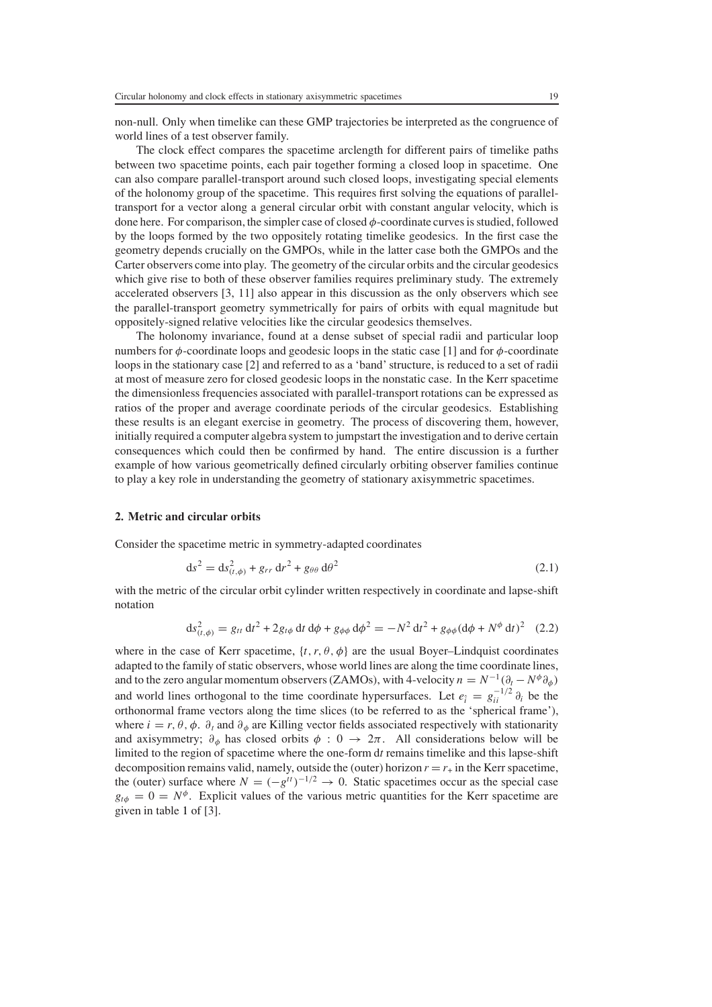non-null. Only when timelike can these GMP trajectories be interpreted as the congruence of world lines of a test observer family.

The clock effect compares the spacetime arclength for different pairs of timelike paths between two spacetime points, each pair together forming a closed loop in spacetime. One can also compare parallel-transport around such closed loops, investigating special elements of the holonomy group of the spacetime. This requires first solving the equations of paralleltransport for a vector along a general circular orbit with constant angular velocity, which is done here. For comparison, the simpler case of closed  $\phi$ -coordinate curves is studied, followed by the loops formed by the two oppositely rotating timelike geodesics. In the first case the geometry depends crucially on the GMPOs, while in the latter case both the GMPOs and the Carter observers come into play. The geometry of the circular orbits and the circular geodesics which give rise to both of these observer families requires preliminary study. The extremely accelerated observers [3, 11] also appear in this discussion as the only observers which see the parallel-transport geometry symmetrically for pairs of orbits with equal magnitude but oppositely-signed relative velocities like the circular geodesics themselves.

The holonomy invariance, found at a dense subset of special radii and particular loop numbers for  $\phi$ -coordinate loops and geodesic loops in the static case [1] and for  $\phi$ -coordinate loops in the stationary case [2] and referred to as a 'band' structure, is reduced to a set of radii at most of measure zero for closed geodesic loops in the nonstatic case. In the Kerr spacetime the dimensionless frequencies associated with parallel-transport rotations can be expressed as ratios of the proper and average coordinate periods of the circular geodesics. Establishing these results is an elegant exercise in geometry. The process of discovering them, however, initially required a computer algebra system to jumpstart the investigation and to derive certain consequences which could then be confirmed by hand. The entire discussion is a further example of how various geometrically defined circularly orbiting observer families continue to play a key role in understanding the geometry of stationary axisymmetric spacetimes.

## **2. Metric and circular orbits**

Consider the spacetime metric in symmetry-adapted coordinates

$$
ds^2 = ds^2_{(t,\phi)} + g_{rr} dr^2 + g_{\theta\theta} d\theta^2
$$
\n(2.1)

with the metric of the circular orbit cylinder written respectively in coordinate and lapse-shift notation

$$
ds^{2}_{(t,\phi)} = g_{tt} dt^{2} + 2g_{t\phi} dt d\phi + g_{\phi\phi} d\phi^{2} = -N^{2} dt^{2} + g_{\phi\phi} (d\phi + N^{\phi} dt)^{2} (2.2)
$$

where in the case of Kerr spacetime,  $\{t, r, \theta, \phi\}$  are the usual Boyer–Lindquist coordinates adapted to the family of static observers, whose world lines are along the time coordinate lines, and to the zero angular momentum observers (ZAMOs), with 4-velocity  $n = N^{-1}(\partial_t - N^{\phi}\partial_{\phi})$ and world lines orthogonal to the time coordinate hypersurfaces. Let  $e_i = g_{ii}^{-1/2} \partial_i$  be the corthonormal frame vectors along the time slices (to be referred to as the 'spherical frame') orthonormal frame vectors along the time slices (to be referred to as the 'spherical frame'), where  $i = r, \theta, \phi$ .  $\partial_t$  and  $\partial_{\phi}$  are Killing vector fields associated respectively with stationarity and axisymmetry;  $\partial_{\phi}$  has closed orbits  $\phi$ : 0  $\rightarrow$  2π. All considerations below will be limited to the region of spacetime where the one-form d*t* remains timelike and this lapse-shift decomposition remains valid, namely, outside the (outer) horizon  $r = r_{+}$  in the Kerr spacetime, the (outer) surface where  $N = (-g^{tt})^{-1/2} \rightarrow 0$ . Static spacetimes occur as the special case  $g_{t\phi} = 0 = N^{\phi}$ . Explicit values of the various metric quantities for the Kerr spacetime are given in table [1](#page-6-0) of [3].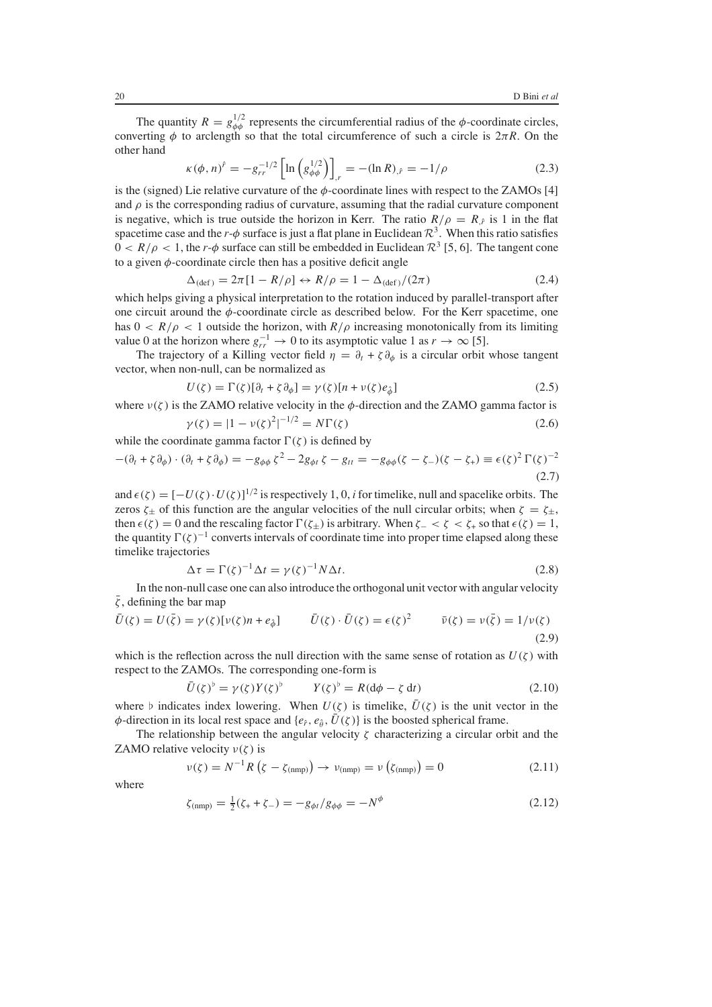The quantity  $R = g_{\phi\phi}^{1/2}$  represents the circumferential radius of the  $\phi$ -coordinate circles,<br>retting  $\phi$  to arclength so that the total circumference of such a circle is  $2\pi R$ . On the converting  $\phi$  to arclength so that the total circumference of such a circle is  $2\pi R$ . On the other hand

$$
\kappa(\phi, n)^{\hat{r}} = -g_{rr}^{-1/2} \left[ \ln \left( g_{\phi\phi}^{1/2} \right) \right]_{,r} = -(\ln R)_{,\hat{r}} = -1/\rho \tag{2.3}
$$

is the (signed) Lie relative curvature of the  $\phi$ -coordinate lines with respect to the ZAMOs [4] and  $\rho$  is the corresponding radius of curvature assuming that the radial curvature component and  $\rho$  is the corresponding radius of curvature, assuming that the radial curvature component is negative, which is true outside the horizon in Kerr. The ratio  $R/\rho = R<sub>\hat{r}</sub>$  is 1 in the flat spacetime case and the *r*- $\phi$  surface is just a flat plane in Euclidean  $\mathcal{R}^3$ . When this ratio satisfies  $0 < R/\rho < 1$ , the *r*- $\phi$  surface can still be embedded in Euclidean  $\mathcal{R}^3$  [5, 6]. The tangent cone to a given  $\phi$ -coordinate circle then has a positive deficit angle

$$
\Delta_{\text{(def)}} = 2\pi [1 - R/\rho] \leftrightarrow R/\rho = 1 - \Delta_{\text{(def)}}/(2\pi) \tag{2.4}
$$

 $\Delta_{\text{(def)}} = 2\pi [1 - R/\rho] \leftrightarrow R/\rho = 1 - \Delta_{\text{(def)}}/(2\pi)$ <br>which helps giving a physical interpretation to the rotation induced by parallel-transport after one circuit around the  $\phi$ -coordinate circle as described below. For the Kerr spacetime, one has  $0 < R/\rho < 1$  outside the horizon, with  $R/\rho$  increasing monotonically from its limiting value 0 at the horizon where  $g_{rr}^{-1} \rightarrow 0$  to its asymptotic value 1 as  $r \rightarrow \infty$  [5].<br>The trajectory of a Killing vector field  $n = \lambda + \xi \lambda$ , is a circular orbit

The trajectory of a Killing vector field  $\eta = \partial_t + \zeta \partial_{\phi}$  is a circular orbit whose tangent vector, when non-null, can be normalized as

$$
U(\zeta) = \Gamma(\zeta)[\partial_t + \zeta \partial_\phi] = \gamma(\zeta)[n + \nu(\zeta)e_\phi]
$$
\n(2.5)

where  $v(\zeta)$  is the ZAMO relative velocity in the  $\phi$ -direction and the ZAMO gamma factor is

$$
\gamma(\zeta) = |1 - \nu(\zeta)^2|^{-1/2} = N\Gamma(\zeta)
$$
\n(2.6)

while the coordinate gamma factor  $\Gamma(\zeta)$  is defined by

$$
-(\partial_t + \zeta \partial_\phi) \cdot (\partial_t + \zeta \partial_\phi) = -g_{\phi\phi} \zeta^2 - 2g_{\phi t} \zeta - g_{tt} = -g_{\phi\phi} (\zeta - \zeta -) (\zeta - \zeta_+) \equiv \epsilon(\zeta)^2 \Gamma(\zeta)^{-2}
$$
\n(2.7)

and  $\epsilon(\zeta) = [-U(\zeta) \cdot U(\zeta)]^{1/2}$  is respectively 1, 0, *i* for timelike, null and spacelike orbits. The zeros  $\zeta_{\perp}$  of this function are the angular velocities of the null circular orbits: when  $\zeta = \zeta_{\perp}$ zeros  $\zeta_{\pm}$  of this function are the angular velocities of the null circular orbits; when  $\zeta = \zeta_{\pm}$ , then  $\epsilon(\zeta) = 0$  and the rescaling factor  $\Gamma(\zeta_{\pm})$  is arbitrary. When  $\zeta$   $\zeta$   $\zeta$   $\zeta$   $\zeta$   $\zeta$   $\zeta$   $\zeta$   $\zeta$   $\zeta$   $\zeta$   $\zeta$   $\zeta$   $\zeta$   $\zeta$   $\zeta$   $\zeta$   $\zeta$   $\zeta$   $\zeta$   $\zeta$   $\zeta$   $\zeta$   $\zeta$   $\zeta$ the quantity  $\Gamma(\zeta)^{-1}$  converts intervals of coordinate time into proper time elapsed along these timelike trajectories

$$
\Delta \tau = \Gamma(\zeta)^{-1} \Delta t = \gamma(\zeta)^{-1} N \Delta t. \tag{2.8}
$$

 $\Delta \tau = \Gamma(\zeta)^{-1} \Delta t = \gamma(\zeta)^{-1} N \Delta t.$ <br>In the non-null case one can also introduce the orthogonal unit vector with angular velocity  $\bar{\zeta}$ , defining the bar map

$$
\bar{U}(\zeta) = U(\bar{\zeta}) = \gamma(\zeta)[\nu(\zeta)n + e_{\hat{\phi}}] \qquad \bar{U}(\zeta) \cdot \bar{U}(\zeta) = \epsilon(\zeta)^2 \qquad \bar{\nu}(\zeta) = \nu(\bar{\zeta}) = 1/\nu(\zeta)
$$
\n(2.9)

which is the reflection across the null direction with the same sense of rotation as  $U(\zeta)$  with respect to the ZAMOs. The corresponding one-form is

$$
\bar{U}(\zeta)^{\flat} = \gamma(\zeta)Y(\zeta)^{\flat} \qquad Y(\zeta)^{\flat} = R(\mathrm{d}\phi - \zeta \,\mathrm{d}t) \tag{2.10}
$$

where b indicates index lowering. When  $U(\zeta)$  is timelike,  $\overline{U}(\zeta)$  is the unit vector in the dedication in its local rest space and  $I_{\zeta}$ ,  $\overline{U}(\zeta)$  is the boosted spherical frame  $\phi$ -direction in its local rest space and { $e_{\hat{r}}$ ,  $e_{\hat{\theta}}$ ,  $\bar{U}(\zeta)$ } is the boosted spherical frame.

The relationship between the angular velocity  $\zeta$  characterizing a circular orbit and the ZAMO relative velocity  $v(\zeta)$  is

$$
\nu(\zeta) = N^{-1}R\left(\zeta - \zeta_{\text{(nmp)}}\right) \to \nu_{\text{(nmp)}} = \nu\left(\zeta_{\text{(nmp)}}\right) = 0 \tag{2.11}
$$

where

$$
\zeta_{\text{(nmp)}} = \frac{1}{2}(\zeta_{+} + \zeta_{-}) = -g_{\phi t}/g_{\phi\phi} = -N^{\phi}
$$
\n(2.12)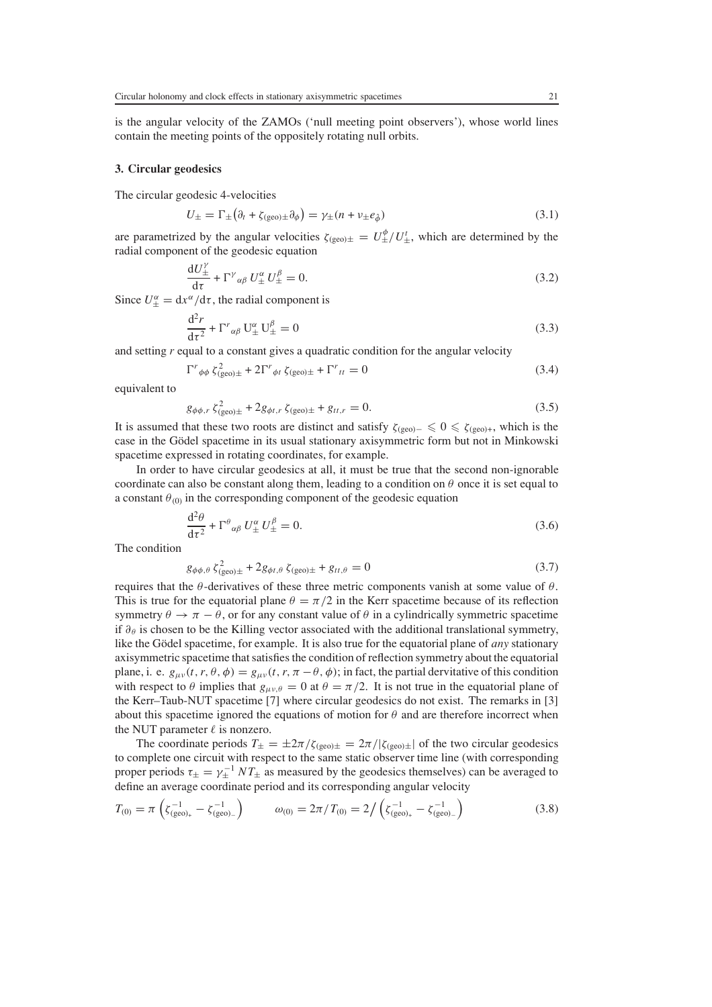is the angular velocity of the ZAMOs ('null meeting point observers'), whose world lines contain the meeting points of the oppositely rotating null orbits.

#### **3. Circular geodesics**

The circular geodesic 4-velocities

$$
U_{\pm} = \Gamma_{\pm} \left( \partial_t + \zeta_{\text{(geo)} \pm} \partial_{\phi} \right) = \gamma_{\pm} (n + \nu_{\pm} e_{\hat{\phi}})
$$
\n(3.1)

are parametrized by the angular velocities  $\zeta_{\text{(geo)}\pm} = U_{\pm}^{\phi}/U_{\pm}^t$ , which are determined by the radial component of the geodesic equation radial component of the geodesic equation

$$
\frac{dU_{\pm}^{\gamma}}{d\tau} + \Gamma^{\gamma}{}_{\alpha\beta} U_{\pm}^{\alpha} U_{\pm}^{\beta} = 0.
$$
\n(3.2)

Since  $U_{\pm}^{\alpha} = dx^{\alpha}/d\tau$ , the radial component is

$$
\frac{d^2r}{d\tau^2} + \Gamma^r{}_{\alpha\beta} U^{\alpha}_{\pm} U^{\beta}_{\pm} = 0
$$
 (3.3)  
and setting *r* equal to a constant gives a quadratic condition for the angular velocity

$$
\Gamma^r_{\phi\phi} \zeta^2_{\text{(geo)}\pm} + 2\Gamma^r_{\phi t} \zeta_{\text{(geo)}\pm} + \Gamma^r_{\text{tt}} = 0 \tag{3.4}
$$

equivalent to

$$
g_{\phi\phi,r} \zeta_{(geo)\pm}^2 + 2g_{\phi t,r} \zeta_{(geo)\pm} + g_{tt,r} = 0.
$$
 (3.5)

It is assumed that these two roots are distinct and satisfy  $\zeta_{(geo)} \leq 0 \leq \zeta_{(geo)+}$ , which is the Gödel spacetime in its usual stationary axisymmetric form but not in Minkowski case in the Gödel spacetime in its usual stationary axisymmetric form but not in Minkowski spacetime expressed in rotating coordinates, for example.

In order to have circular geodesics at all, it must be true that the second non-ignorable coordinate can also be constant along them, leading to a condition on  $\theta$  once it is set equal to a constant  $\theta_{(0)}$  in the corresponding component of the geodesic equation

$$
\frac{\mathrm{d}^2 \theta}{\mathrm{d}\tau^2} + \Gamma^{\theta}{}_{\alpha\beta} U^{\alpha}_{\pm} U^{\beta}_{\pm} = 0. \tag{3.6}
$$

The condition

$$
g_{\phi\phi,\theta} \zeta_{\text{(geo)}\pm}^2 + 2g_{\phi t,\theta} \zeta_{\text{(geo)}\pm} + g_{tt,\theta} = 0 \tag{3.7}
$$

requires that the  $\theta$ -derivatives of these three metric components vanish at some value of  $\theta$ .<br>This is true for the equatorial plane  $\theta = \pi/2$  in the Kerr spacetime because of its reflection This is true for the equatorial plane  $\theta = \pi/2$  in the Kerr spacetime because of its reflection symmetry  $\theta \to \pi - \theta$ , or for any constant value of  $\theta$  in a cylindrically symmetric spacetime if  $\partial_\theta$  is chosen to be the Killing vector associated with the additional translational symmetry, like the Gödel spacetime, for example. It is also true for the equatorial plane of *any* stationary axisymmetric spacetime that satisfies the condition of reflection symmetry about the equatorial plane, i. e.  $g_{\mu\nu}(t, r, \theta, \phi) = g_{\mu\nu}(t, r, \pi - \theta, \phi)$ ; in fact, the partial dervitative of this condition with respect to  $\theta$  implies that  $g_{\mu\nu,\theta} = 0$  at  $\theta = \pi/2$ . It is not true in the equatorial plane of the Kerr–Taub-NUT spacetime [7] where circular geodesics do not exist. The remarks in [3] about this spacetime ignored the equations of motion for  $\theta$  and are therefore incorrect when the NUT parameter  $\ell$  is nonzero.

The coordinate periods  $T_{\pm} = \pm 2\pi/\zeta_{(geo)\pm} = 2\pi/|\zeta_{(geo)\pm}|$  of the two circular geodesics to complete one circuit with respect to the same static observer time line (with corresponding proper periods  $\tau_{\pm} = \gamma_{\pm}^{-1} NT_{\pm}$  as measured by the geodesics themselves) can be averaged to define an average coordinate period and its corresponding angular velocity. define an average coordinate period and its corresponding angular velocity

$$
T_{(0)} = \pi \left( \zeta_{\text{(geo)}_{+}}^{-1} - \zeta_{\text{(geo)}_{-}}^{-1} \right) \qquad \omega_{(0)} = 2\pi / T_{(0)} = 2 / \left( \zeta_{\text{(geo)}_{+}}^{-1} - \zeta_{\text{(geo)}_{-}}^{-1} \right) \tag{3.8}
$$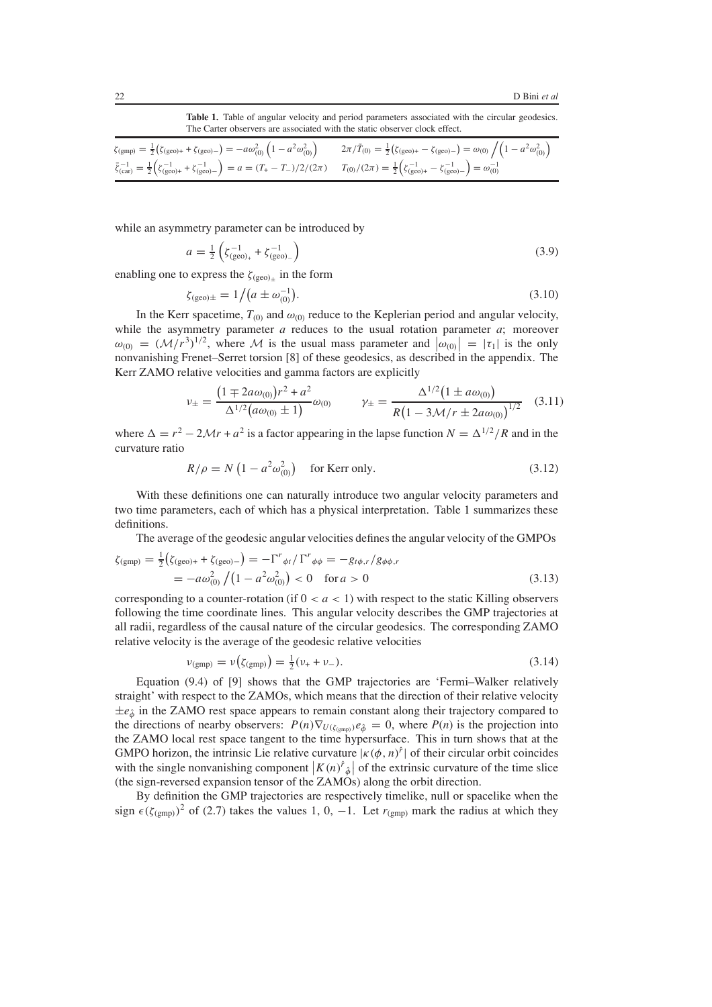Table 1. Table of angular velocity and period parameters associated with the circular geodesics. The Carter observers are associated with the static observer clock effect.

<span id="page-6-0"></span>

| $\zeta_{\text{(gmp)}} = \frac{1}{2} (\zeta_{\text{(geo)+}} + \zeta_{\text{(geo)-}}) = -a\omega_{(0)}^2 (1 - a^2 \omega_{(0)}^2)$ $2\pi/\tilde{T}_{(0)} = \frac{1}{2} (\zeta_{\text{(geo)+}} - \zeta_{\text{(geo)-}}) = \omega_{(0)} / (1 - a^2 \omega_{(0)}^2)$ |  |
|-----------------------------------------------------------------------------------------------------------------------------------------------------------------------------------------------------------------------------------------------------------------|--|
| $\bar{\zeta}_{(car)}^{-1} = \frac{1}{2} \Big( \zeta_{(geo)+}^{-1} + \zeta_{(geo)-}^{-1} \Big) = a = (T_{+} - T_{-})/2/(2\pi) \qquad T_{(0)}/(2\pi) = \frac{1}{2} \Big( \zeta_{(geo)+}^{-1} - \zeta_{(geo)-}^{-1} \Big) = \omega_{(0)}^{-1}$                     |  |

while an asymmetry parameter can be introduced by

$$
a = \frac{1}{2} \left( \zeta_{\text{(geo)}_{+}}^{-1} + \zeta_{\text{(geo)}_{-}}^{-1} \right) \tag{3.9}
$$

enabling one to express the  $\zeta_{\text{(geo)}_{\pm}}$  in the form

$$
\zeta_{\text{(geo)}\pm} = 1/(a \pm \omega_{(0)}^{-1}).\tag{3.10}
$$

In the Kerr spacetime,  $T_{(0)}$  and  $\omega_{(0)}$  reduce to the Keplerian period and angular velocity, i.e. the asymmetry parameter a reduces to the usual rotation parameter a: moreover while the asymmetry parameter *a* reduces to the usual rotation parameter *a*; moreover  $\omega_{(0)} = (\mathcal{M}/r^3)^{1/2}$ , where  $\mathcal M$  is the usual mass parameter and  $|\omega_{(0)}| = |\tau_1|$  is the only nonvanishing Frenet-Serret torsion [8] of these geodesics as described in the appendix. The nonvanishing Frenet–Serret torsion [8] of these geodesics, as described in the appendix. The Kerr ZAMO relative velocities and gamma factors are explicitly

$$
\nu_{\pm} = \frac{\left(1 \pm 2a\omega_{(0)}\right)r^2 + a^2}{\Delta^{1/2}\left(a\omega_{(0)} \pm 1\right)}\omega_{(0)} \qquad \gamma_{\pm} = \frac{\Delta^{1/2}\left(1 \pm a\omega_{(0)}\right)}{R\left(1 - 3\mathcal{M}/r \pm 2a\omega_{(0)}\right)^{1/2}} \quad (3.11)
$$

where  $\Delta = r^2 - 2Mr + a^2$  is a factor appearing in the lapse function  $N = \Delta^{1/2}/R$  and in the curvature ratio curvature ratio

$$
R/\rho = N\left(1 - a^2 \omega_{(0)}^2\right) \quad \text{for Kerr only.}
$$
 (3.12)

With these definitions one can naturally introduce two angular velocity parameters and two time parameters, each of which has a physical interpretation. Table [1](#page-6-0) summarizes these definitions.

The average of the geodesic angular velocities defines the angular velocity of the GMPOs

$$
\zeta_{\text{(gmp)}} = \frac{1}{2} \left( \zeta_{\text{(geo)}} + \zeta_{\text{(geo)}} - \right) = -\Gamma^r_{\phi t} / \Gamma^r_{\phi \phi} = -g_{t\phi, r} / g_{\phi \phi, r}
$$
  
=  $-a\omega_{(0)}^2 / (1 - a^2 \omega_{(0)}^2) < 0 \text{ for } a > 0$  (3.13)

corresponding to a counter-rotation (if  $0 < a < 1$ ) with respect to the static Killing observers following the time coordinate lines. This angular velocity describes the GMP trajectories at all radii, regardless of the causal nature of the circular geodesics. The corresponding ZAMO relative velocity is the average of the geodesic relative velocities

$$
\nu_{\text{(gmp)}} = \nu \big( \zeta_{\text{(gmp)}} \big) = \frac{1}{2} (\nu_+ + \nu_-). \tag{3.14}
$$

Equation (9.4) of [9] shows that the GMP trajectories are 'Fermi–Walker relatively straight' with respect to the ZAMOs, which means that the direction of their relative velocity  $\pm e_{\hat{\phi}}$  in the ZAMO rest space appears to remain constant along their trajectory compared to the directions of nearby observers:  $P(n)\nabla_{U(\zeta_{(gmp)})}e_{\hat{\phi}} = 0$ , where  $P(n)$  is the projection into the ZAMO local rest space tangent to the time hypersurface. This in turn shows that at the GMPO horizon, the intrinsic Lie relative curvature  $|\kappa(\phi, n)^{\hat{r}}|$  of their circular orbit coincides with the single nonvanishing component  $|\kappa(n)^{\hat{r}}_{\hat{r}}|$  of the extrinsic curvature of the time slice with the single nonvanishing component  $\left| K(n) \right\rangle^{\hat{r}}_{\hat{\phi}}$  of the extrinsic curvature of the time slice<br>(the sign-reversed expansion tensor of the ZAMOs) along the orbit direction (the sign-reversed expansion tensor of the ZAMOs) along the orbit direction.

By definition the GMP trajectories are respectively timelike, null or spacelike when the sign  $\epsilon(\zeta_{(gmp)})^2$  of (2.7) takes the values 1, 0, -1. Let  $r_{(gmp)}$  mark the radius at which they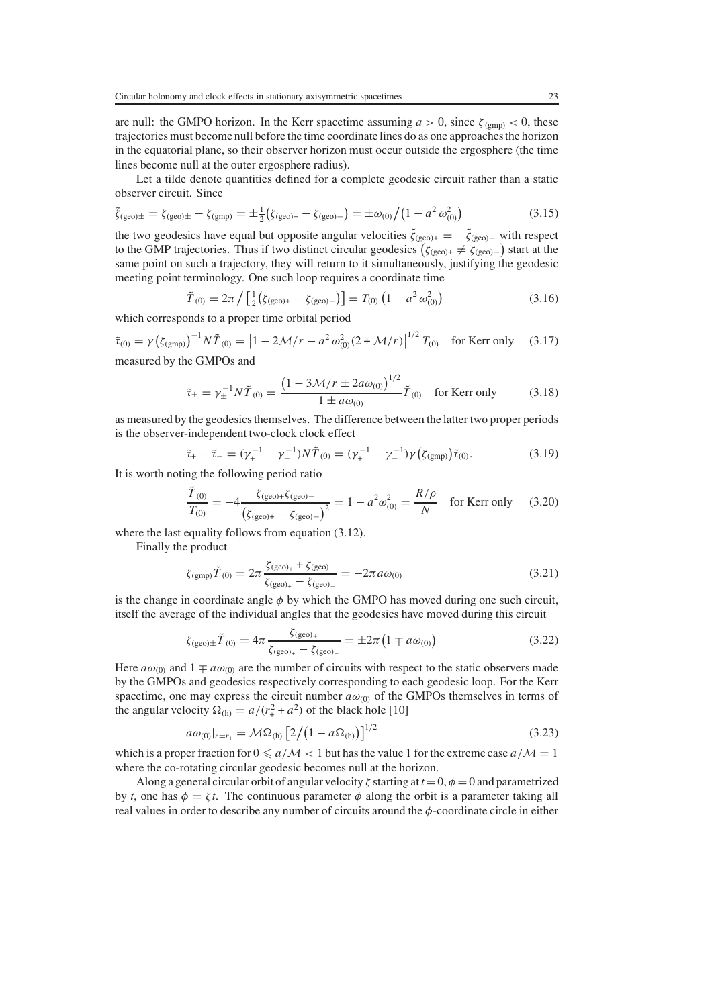are null: the GMPO horizon. In the Kerr spacetime assuming  $a > 0$ , since  $\zeta_{(gmp)} < 0$ , these trajectories must become null before the time coordinate lines do as one approaches the horizon in the equatorial plane, so their observer horizon must occur outside the ergosphere (the time lines become null at the outer ergosphere radius).

Let a tilde denote quantities defined for a complete geodesic circuit rather than a static observer circuit. Since

$$
\tilde{\zeta}_{\text{(geo)}\pm} = \zeta_{\text{(geo)}\pm} - \zeta_{\text{(gmp)}} = \pm \frac{1}{2} \left( \zeta_{\text{(geo)}+} - \zeta_{\text{(geo)}-} \right) = \pm \omega_{(0)} \left/ \left( 1 - a^2 \omega_{(0)}^2 \right) \right)
$$
(3.15)

the two geodesics have equal but opposite angular velocities  $\tilde{\zeta}_{(geo)+} = -\tilde{\zeta}_{(geo)-}$  with respect to the GMP trajectories. Thus if two distinct circular geodesics  $(z_{\text{max}} + z_{\text{max}})$  start at the to the GMP trajectories. Thus if two distinct circular geodesics  $(\zeta_{\text{(geo)}+} \neq \zeta_{\text{(geo)}-})$  start at the same point on such a trajectory, they will return to it simultaneously justifying the geodesic same point on such a trajectory, they will return to it simultaneously, justifying the geodesic meeting point terminology. One such loop requires a coordinate time

$$
\tilde{T}_{(0)} = 2\pi \left/ \left[ \frac{1}{2} \left( \zeta_{\text{(geo)+}} - \zeta_{\text{(geo)-}} \right) \right] = T_{(0)} \left( 1 - a^2 \omega_{(0)}^2 \right) \tag{3.16}
$$

which corresponds to a proper time orbital period

$$
\tilde{\tau}_{(0)} = \gamma \left( \zeta_{(\text{gmp})} \right)^{-1} N \tilde{T}_{(0)} = \left| 1 - 2\mathcal{M}/r - a^2 \omega_{(0)}^2 (2 + \mathcal{M}/r) \right|^{1/2} T_{(0)}
$$
 for Kerr only (3.17)  
measured by the GMPOs and

$$
\tilde{\tau}_{\pm} = \gamma_{\pm}^{-1} N \tilde{T}_{(0)} = \frac{\left(1 - 3\mathcal{M}/r \pm 2a\omega_{(0)}\right)^{1/2}}{1 \pm a\omega_{(0)}} \tilde{T}_{(0)} \quad \text{for Kerr only} \tag{3.18}
$$

as measured by the geodesics themselves. The difference between the latter two proper periods is the observer-independent two-clock clock effect

$$
\tilde{\tau}_{+} - \tilde{\tau}_{-} = (\gamma_{+}^{-1} - \gamma_{-}^{-1}) N \tilde{T}_{(0)} = (\gamma_{+}^{-1} - \gamma_{-}^{-1}) \gamma (\zeta_{(\text{gmp})}) \tilde{\tau}_{(0)}.
$$
\n(3.19)

It is worth noting the following period ratio

$$
\frac{\tilde{T}_{(0)}}{T_{(0)}} = -4 \frac{\zeta_{(geo)+}\zeta_{(geo)-}}{(\zeta_{(geo)+} - \zeta_{(geo)-})^2} = 1 - a^2 \omega_{(0)}^2 = \frac{R/\rho}{N} \quad \text{for Kerr only} \tag{3.20}
$$

where the last equality follows from equation (3.12).

Finally the product

$$
\zeta_{\text{(gmp)}}\tilde{T}_{(0)} = 2\pi \frac{\zeta_{\text{(geo)}_{+}} + \zeta_{\text{(geo)}_{-}}}{\zeta_{\text{(geo)}_{+}} - \zeta_{\text{(geo)}_{-}}} = -2\pi a \omega_{(0)}\tag{3.21}
$$

is the change in coordinate angle  $\phi$  by which the GMPO has moved during one such circuit, itself the average of the individual angles that the geodesics have moved during this circuit. itself the average of the individual angles that the geodesics have moved during this circuit

$$
\zeta_{\text{(geo)}\pm}\tilde{T}_{(0)} = 4\pi \frac{\zeta_{\text{(geo)}\pm}}{\zeta_{\text{(geo)}\pm} - \zeta_{\text{(geo)}\pm}} = \pm 2\pi \left(1 \mp a\omega_{(0)}\right) \tag{3.22}
$$

Here  $a\omega_{(0)}$  and  $1 \mp a\omega_{(0)}$  are the number of circuits with respect to the static observers made<br>by the GMPOs and geodesics respectively corresponding to each geodesic loop. For the Kerr by the GMPOs and geodesics respectively corresponding to each geodesic loop. For the Kerr spacetime, one may express the circuit number  $a\omega_{(0)}$  of the GMPOs themselves in terms of the angular velocity  $\Omega_{\text{(h)}} = a/(r_+^2 + a^2)$  of the black hole [10]

$$
a\omega_{(0)}|_{r=r_{+}} = M\Omega_{(h)} \left[2/(1 - a\Omega_{(h)})\right]^{1/2}
$$
\n(3.23)

which is a proper fraction for  $0 \le a/M < 1$  but has the value 1 for the extreme case  $a/M = 1$ where the co-rotating circular geodesic becomes null at the horizon.

Along a general circular orbit of angular velocity  $\zeta$  starting at  $t=0, \phi=0$  and parametrized by *t*, one has  $\phi = \zeta t$ . The continuous parameter  $\phi$  along the orbit is a parameter taking all real values in order to describe any number of circuits around the  $\phi$ -coordinate circle in either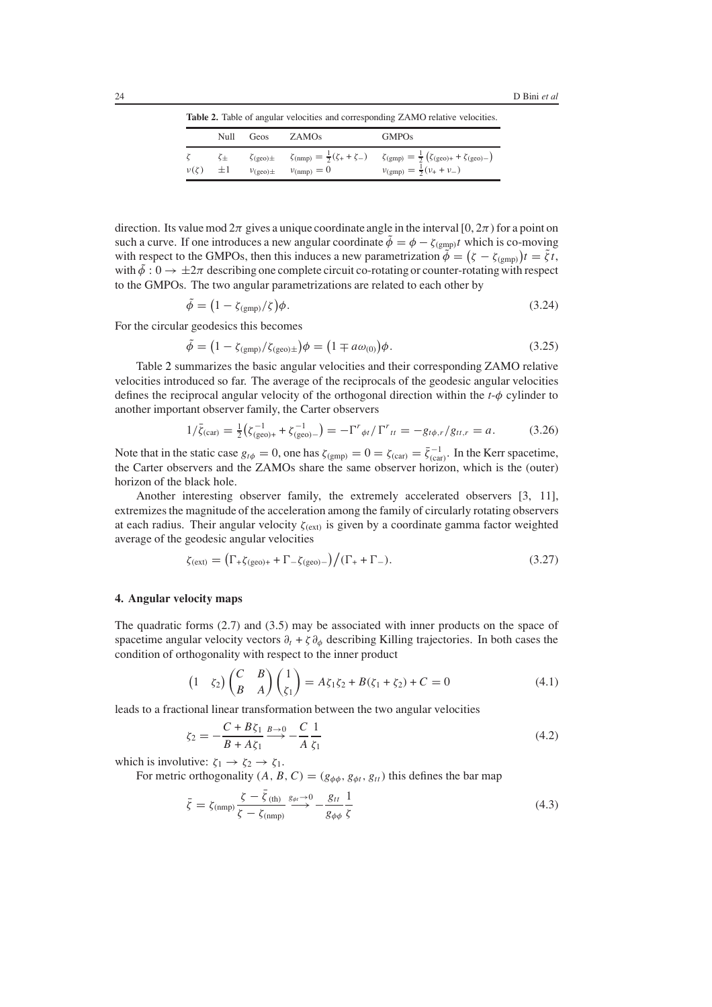**Table 2.** Table of angular velocities and corresponding ZAMO relative velocities.

<span id="page-8-0"></span>

|              |                          | Null Geos | ZAMO <sub>s</sub> | <b>GMPOs</b>                                                                                                                                                                                                                                                                           |
|--------------|--------------------------|-----------|-------------------|----------------------------------------------------------------------------------------------------------------------------------------------------------------------------------------------------------------------------------------------------------------------------------------|
| $\nu(\zeta)$ | $\zeta_{\pm}$<br>$\pm 1$ |           |                   | $\zeta_{\text{(geo)}}\pm \qquad \zeta_{\text{(nmp)}} = \frac{1}{2}(\zeta_+ + \zeta_-) \qquad \zeta_{\text{(gmp)}} = \frac{1}{2} (\zeta_{\text{(geo)}} + \zeta_{\text{(geo)}} -)$<br>$v_{\text{(geo)}}\pm \qquad v_{\text{(nmp)}} = 0 \qquad v_{\text{(gmp)}} = \frac{1}{2}(v_+ + v_-)$ |

direction. Its value mod  $2\pi$  gives a unique coordinate angle in the interval [0,  $2\pi$ ) for a point on such a curve. If one introduces a new angular coordinate  $\tilde{\phi} = \phi - \zeta_{(gmp)}t$  which is co-moving with respect to the GMPOs, then this induces a new parametrization  $\tilde{\phi} = (\zeta - \zeta_{\text{(gmp)}})t = \tilde{\zeta}t$ ,<br>with  $\tilde{\phi} : 0 \to +2\pi$  describing one complete circuit co-rotating or counter-rotating with respect with  $\tilde{\phi}: 0 \to \pm 2\pi$  describing one complete circuit co-rotating or counter-rotating with respect to the GMPOs. The two angular parametrizations are related to each other by

$$
\tilde{\phi} = \left(1 - \zeta_{\text{(gmp)}}/\zeta\right)\phi. \tag{3.24}
$$

For the circular geodesics this becomes

$$
\tilde{\phi} = (1 - \zeta_{\text{(gmp)}} / \zeta_{\text{(geo)}}) \phi = (1 \mp a\omega_{(0)}) \phi. \tag{3.25}
$$

Table [2](#page-8-0) summarizes the basic angular velocities and their corresponding ZAMO relative velocities introduced so far. The average of the reciprocals of the geodesic angular velocities defines the reciprocal angular velocity of the orthogonal direction within the *<sup>t</sup>*-φ cylinder to another important observer family, the Carter observers

$$
1/\bar{\zeta}_{\text{(car)}} = \frac{1}{2} \left( \zeta_{\text{(geo)+}}^{-1} + \zeta_{\text{(geo)-}}^{-1} \right) = -\Gamma^r_{\phi t} / \Gamma^r_{\text{tt}} = -g_{t\phi, r} / g_{tt, r} = a. \tag{3.26}
$$

Note that in the static case  $g_{t\phi} = 0$ , one has  $\zeta_{\text{(gmp)}} = 0 = \zeta_{\text{(car)}} = \overline{\zeta}_{\text{(car)}}^{-1}$ . In the Kerr spacetime, the Carter observers and the ZAMOs share the same observer borizon, which is the Couter the Carter observers and the ZAMOs share the same observer horizon, which is the (outer) horizon of the black hole.

Another interesting observer family, the extremely accelerated observers [3, 11], extremizes the magnitude of the acceleration among the family of circularly rotating observers at each radius. Their angular velocity  $\zeta_{(ext)}$  is given by a coordinate gamma factor weighted average of the geodesic angular velocities

$$
\zeta_{\text{(ext)}} = \left(\Gamma_{+} \zeta_{\text{(geo)+}} + \Gamma_{-} \zeta_{\text{(geo)-}}\right) / (\Gamma_{+} + \Gamma_{-}).\tag{3.27}
$$

## **4. Angular velocity maps**

The quadratic forms (2.7) and (3.5) may be associated with inner products on the space of spacetime angular velocity vectors  $\partial_t$  + ζ $\partial_\phi$  describing Killing trajectories. In both cases the condition of orthogonality with respect to the inner product

$$
\begin{pmatrix} 1 & \zeta_2 \end{pmatrix} \begin{pmatrix} C & B \\ B & A \end{pmatrix} \begin{pmatrix} 1 \\ \zeta_1 \end{pmatrix} = A\zeta_1\zeta_2 + B(\zeta_1 + \zeta_2) + C = 0 \tag{4.1}
$$

leads to a fractional linear transformation between the two angular velocities

$$
\zeta_2 = -\frac{C + B\zeta_1}{B + A\zeta_1} \xrightarrow{B \to 0} -\frac{C}{A} \frac{1}{\zeta_1}
$$
\n(4.2)

which is involutive:  $\zeta_1 \rightarrow \zeta_2 \rightarrow \zeta_1$ .<br>For metric orthogonality (A, B)

For metric orthogonality  $(A, B, C) = (g_{\phi\phi}, g_{\phi t}, g_{tt})$  this defines the bar map

$$
\bar{\zeta} = \zeta_{\text{(nmp)}} \frac{\zeta - \bar{\zeta}_{\text{(th)}}}{\zeta - \zeta_{\text{(nmp)}}} \xrightarrow{g_{\phi t} \to 0} -\frac{g_{tt}}{g_{\phi\phi}} \frac{1}{\zeta}
$$
\n(4.3)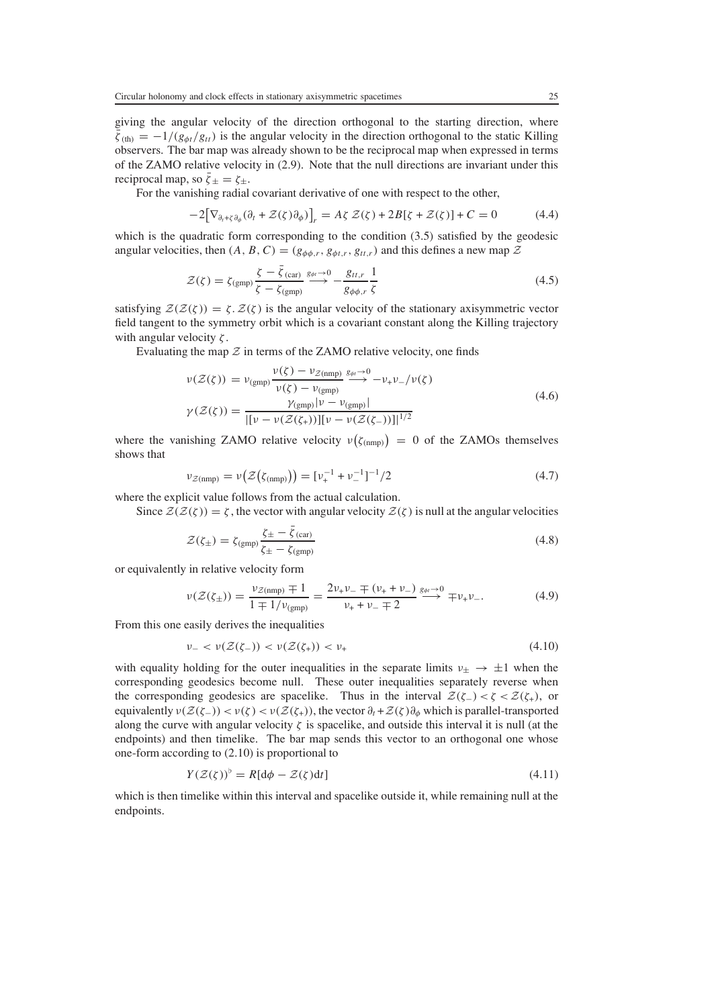giving the angular velocity of the direction orthogonal to the starting direction, where  $\bar{\zeta}_{\text{(th)}} = -1/(g_{\phi t}/g_{tt})$  is the angular velocity in the direction orthogonal to the static Killing observers. The bar map was already shown to be the reciprocal map when expressed in terms of the ZAMO relative velocity in (2.9). Note that the null directions are invariant under this reciprocal map, so  $\bar{\zeta}_\pm = \zeta_\pm$ .

For the vanishing radial covariant derivative of one with respect to the other,

$$
-2\big[\nabla_{\partial_t + \zeta \partial_\phi}(\partial_t + \mathcal{Z}(\zeta)\partial_\phi)\big]_r = A\zeta \mathcal{Z}(\zeta) + 2B[\zeta + \mathcal{Z}(\zeta)] + C = 0 \tag{4.4}
$$

which is the quadratic form corresponding to the condition (3.5) satisfied by the geodesic angular velocities, then  $(A, B, C) = (g_{\phi\phi,r}, g_{\phi t,r}, g_{tt,r})$  and this defines a new map  $\mathcal Z$ 

$$
\mathcal{Z}(\zeta) = \zeta_{\text{(gmp)}} \frac{\zeta - \bar{\zeta}_{\text{(car)}}}{\zeta - \zeta_{\text{(gmp)}}} \xrightarrow{g_{\phi\tau} \to 0} -\frac{g_{tt,r}}{g_{\phi\phi,r}} \frac{1}{\zeta}
$$
(4.5)

satisfying  $Z(Z(\zeta)) = \zeta$ .  $Z(\zeta)$  is the angular velocity of the stationary axisymmetric vectors<br>field tangent to the symmetry orbit which is a covariant constant along the Killing trajectory field tangent to the symmetry orbit which is a covariant constant along the Killing trajectory with angular velocity  $\zeta$ .

Evaluating the map  $\mathcal Z$  in terms of the ZAMO relative velocity, one finds

$$
\nu(\mathcal{Z}(\zeta)) = \nu_{(gmp)} \frac{\nu(\zeta) - \nu_{\mathcal{Z}(nmp)}}{\nu(\zeta) - \nu_{(gmp)}} \xrightarrow{g_{\phi t} \to 0} -\nu_{+} \nu_{-}/\nu(\zeta)
$$
\n
$$
\gamma(\mathcal{Z}(\zeta)) = \frac{\gamma_{(gmp)}|\nu - \nu_{(gmp)}|}{|[\nu - \nu(\mathcal{Z}(\zeta_{+}))][\nu - \nu(\mathcal{Z}(\zeta_{-}))]|^{1/2}}
$$
\n(4.6)

where the vanishing ZAMO relative velocity  $v(\zeta_{\text{(nmp)}}) = 0$  of the ZAMOs themselves shows that

$$
\nu_{\mathcal{Z}(nmp)} = \nu\big(\mathcal{Z}\big(\zeta_{(nmp)}\big)\big) = \left[\nu_{+}^{-1} + \nu_{-}^{-1}\right]^{-1}/2\tag{4.7}
$$

where the explicit value follows from the actual calculation.

Since  $\mathcal{Z}(\mathcal{Z}(\zeta)) = \zeta$ , the vector with angular velocity  $\mathcal{Z}(\zeta)$  is null at the angular velocities

$$
\mathcal{Z}(\zeta_{\pm}) = \zeta_{\text{(gmp)}} \frac{\zeta_{\pm} - \bar{\zeta}_{\text{(car)}}}{\zeta_{\pm} - \zeta_{\text{(gmp)}}}
$$
(4.8)

or equivalently in relative velocity form

$$
\nu(\mathcal{Z}(\zeta_{\pm})) = \frac{\nu_{\mathcal{Z}(nmp)} \mp 1}{1 \mp 1/\nu_{(gmp)}} = \frac{2\nu_{+}\nu_{-} \mp (\nu_{+} + \nu_{-})}{\nu_{+} + \nu_{-} \mp 2} \stackrel{g_{\phi t} \to 0}{\longrightarrow} \mp \nu_{+}\nu_{-}.
$$
\n(4.9)

From this one easily derives the inequalities

$$
\nu_- < \nu(\mathcal{Z}(\zeta_-)) < \nu(\mathcal{Z}(\zeta_+)) < \nu_+ \tag{4.10}
$$

with equality holding for the outer inequalities in the separate limits  $v_{\pm} \rightarrow \pm 1$  when the corresponding geodesics become null. These outer inequalities separately reverse when the corresponding geodesics are spacelike. Thus in the interval  $\mathcal{Z}(\zeta_-) < \zeta < \mathcal{Z}(\zeta_+),$  or equivalently  $\nu(\mathcal{Z}(\zeta_{-})) < \nu(\zeta) < \nu(\mathcal{Z}(\zeta_{+}))$ , the vector  $\partial_t + \mathcal{Z}(\zeta) \partial_{\phi}$  which is parallel-transported along the curve with angular velocity  $\zeta$  is spacelike, and outside this interval it is null (at the endpoints) and then timelike. The bar map sends this vector to an orthogonal one whose one-form according to (2.10) is proportional to

$$
Y(\mathcal{Z}(\zeta))^b = R[d\phi - \mathcal{Z}(\zeta)dt]
$$
\n(4.11)

which is then timelike within this interval and spacelike outside it, while remaining null at the endpoints.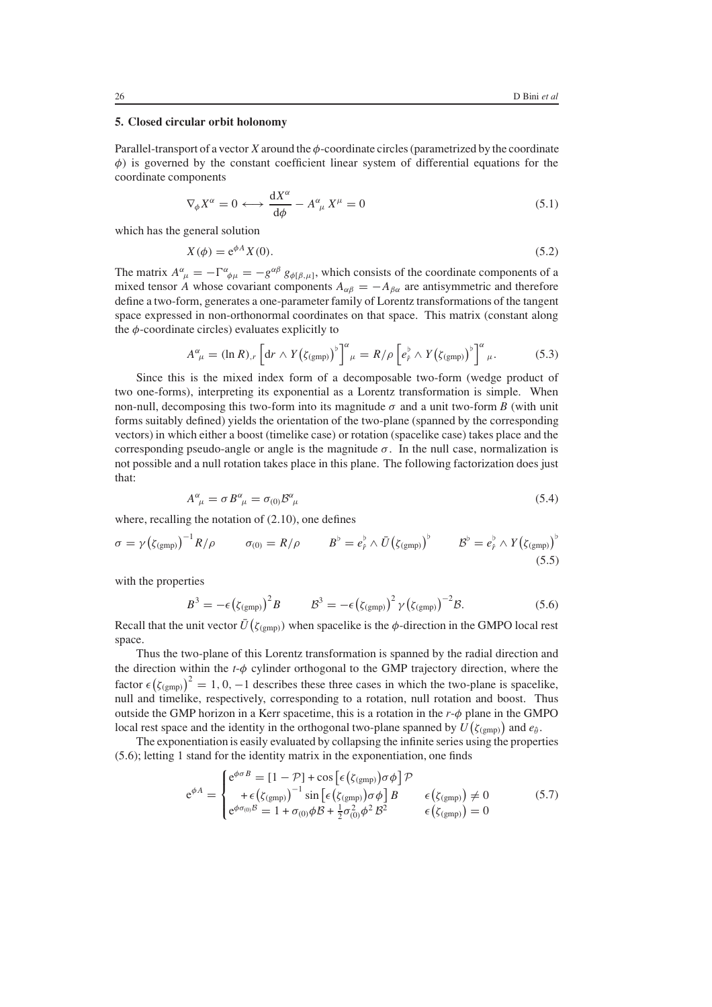## **5. Closed circular orbit holonomy**

Parallel-transport of a vector  $X$  around the  $\phi$ -coordinate circles (parametrized by the coordinate  $\phi$ ) is governed by the constant coefficient linear system of differential equations for the coordinate components

$$
\nabla_{\phi} X^{\alpha} = 0 \longleftrightarrow \frac{dX^{\alpha}}{d\phi} - A^{\alpha}_{\ \mu} X^{\mu} = 0 \tag{5.1}
$$

which has the general solution

$$
X(\phi) = e^{\phi A} X(0). \tag{5.2}
$$

The matrix  $A^{\alpha}_{\mu} = -\Gamma^{\alpha}_{\phi\mu} = -g^{\alpha\beta} g_{\phi[\beta,\mu]},$  which consists of the coordinate components of a<br>mixed tensor 4, whose covariant components  $A_{\alpha} = -A_{\alpha}$  are antisymmetric and therefore mixed tensor A whose covariant components  $A_{\alpha\beta} = -A_{\beta\alpha}$  are antisymmetric and therefore define a two-form, generates a one-parameter family of Lorentz transformations of the tangent space expressed in non-orthonormal coordinates on that space. This matrix (constant along the  $\phi$ -coordinate circles) evaluates explicitly to

$$
A^{\alpha}_{\ \mu} = (\ln R)_{,r} \left[ \mathrm{d}r \wedge Y \big( \zeta_{(\text{gmp})} \big)^{\flat} \right]^{\alpha}_{\ \mu} = R/\rho \left[ e^{\flat}_{\hat{r}} \wedge Y \big( \zeta_{(\text{gmp})} \big)^{\flat} \right]^{\alpha}_{\ \mu}.
$$
 (5.3)

Since this is the mixed index form of a decomposable two-form (wedge product of two one-forms), interpreting its exponential as a Lorentz transformation is simple. When non-null, decomposing this two-form into its magnitude  $\sigma$  and a unit two-form *B* (with unit forms suitably defined) yields the orientation of the two-plane (spanned by the corresponding vectors) in which either a boost (timelike case) or rotation (spacelike case) takes place and the corresponding pseudo-angle or angle is the magnitude  $\sigma$ . In the null case, normalization is not possible and a null rotation takes place in this plane. The following factorization does just that:

$$
A^{\alpha}_{\ \mu} = \sigma B^{\alpha}_{\ \mu} = \sigma_{(0)} B^{\alpha}_{\ \mu} \tag{5.4}
$$

where, recalling the notation of (2.10), one defines

$$
\sigma = \gamma \left( \zeta_{\text{(gmp)}} \right)^{-1} R / \rho \qquad \sigma_{(0)} = R / \rho \qquad B^{\flat} = e_{\hat{r}}^{\flat} \wedge \bar{U} \left( \zeta_{\text{(gmp)}} \right)^{\flat} \qquad B^{\flat} = e_{\hat{r}}^{\flat} \wedge Y \left( \zeta_{\text{(gmp)}} \right)^{\flat} \qquad (5.5)
$$

with the properties

$$
B^{3} = -\epsilon \left(\zeta_{\text{(gmp)}}\right)^{2} B \qquad \qquad B^{3} = -\epsilon \left(\zeta_{\text{(gmp)}}\right)^{2} \gamma \left(\zeta_{\text{(gmp)}}\right)^{-2} B. \tag{5.6}
$$

Recall that the unit vector  $\bar{U}(\zeta_{(gmp)})$  when spacelike is the  $\phi$ -direction in the GMPO local rest space.

Thus the two-plane of this Lorentz transformation is spanned by the radial direction and the direction within the *<sup>t</sup>*-φ cylinder orthogonal to the GMP trajectory direction, where the factor  $\epsilon (\zeta_{\text{(gmp)}})^2 = 1, 0, -1$  describes these three cases in which the two-plane is spacelike, null and timelike respectively corresponding to a rotation null rotation and boost. Thus null and timelike, respectively, corresponding to a rotation, null rotation and boost. Thus null and timelike, respectively, corresponding to a rotation, null rotation and boost. Thus outside the GMP horizon in a Kerr spacetime, this is a rotation in the *<sup>r</sup>*-φ plane in the GMPO local rest space and the identity in the orthogonal two-plane spanned by  $U(\zeta_{\text{(gmp)}})$  and  $e_{\hat{\theta}}$ .<br>The exponentiation is easily evaluated by collapsing the infinite series using the proper

The exponentiation is easily evaluated by collapsing the infinite series using the properties The exponentiation is easily evaluated by collapsing the infinite series using the properties (5.6); letting 1 stand for the identity matrix in the exponentiation, one finds

$$
e^{\phi A} = \begin{cases} e^{\phi \sigma B} = [1 - \mathcal{P}] + \cos\left[\epsilon \left(\zeta_{(gmp)}\right) \sigma \phi\right] \mathcal{P} \\ + \epsilon \left(\zeta_{(gmp)}\right)^{-1} \sin\left[\epsilon \left(\zeta_{(gmp)}\right) \sigma \phi\right] B & \epsilon \left(\zeta_{(gmp)}\right) \neq 0 \\ e^{\phi \sigma_{(0)} B} = 1 + \sigma_{(0)} \phi B + \frac{1}{2} \sigma_{(0)}^2 \phi^2 B^2 & \epsilon \left(\zeta_{(gmp)}\right) = 0 \end{cases}
$$
(5.7)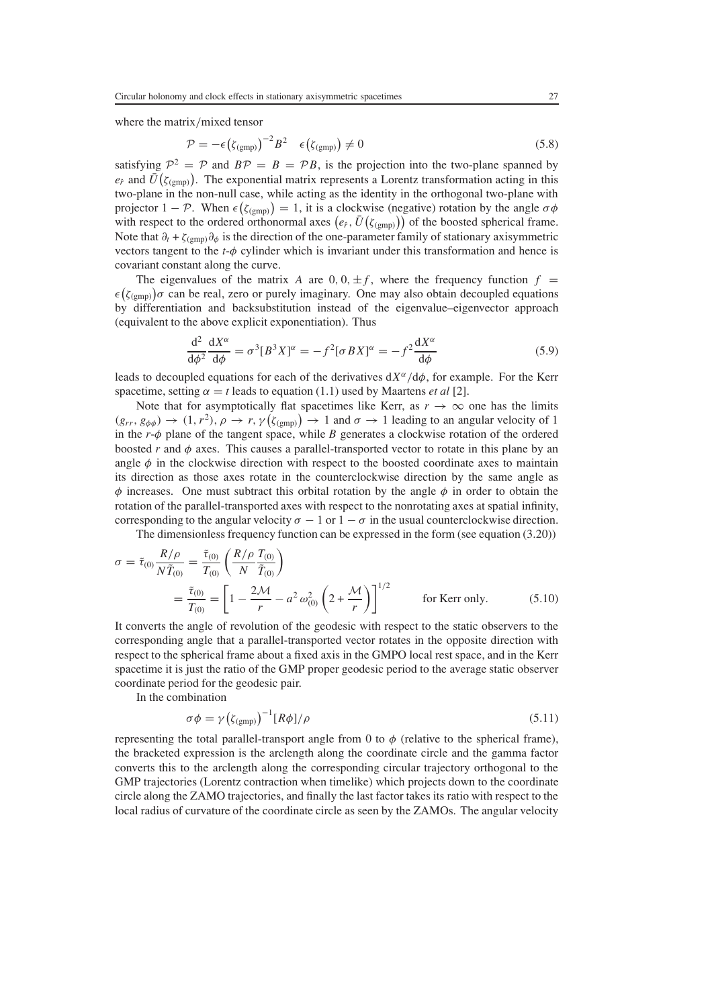where the matrix/mixed tensor

$$
\mathcal{P} = -\epsilon \left( \zeta_{\text{(gmp)}} \right)^{-2} B^2 \quad \epsilon \left( \zeta_{\text{(gmp)}} \right) \neq 0 \tag{5.8}
$$

satisfying  $\mathcal{P}^2 = \mathcal{P}$  and  $\mathcal{BP} = \mathcal{B} = \mathcal{PB}$ , is the projection into the two-plane spanned by  $e_2$  and  $\overline{U}(z_1, \ldots)$ . The exponential matrix represents a Lorentz transformation acting in this  $e_f$  and  $\overline{U}(\zeta_{\text{(gmp)}})$ . The exponential matrix represents a Lorentz transformation acting in this two-plane in the pop-pull case, while acting as the identity in the orthogonal two-plane with  $e_f$  and  $U(\zeta_{\text{(gmp)}})$ . The exponential matrix represents a Lorentz transformation acting in this<br>two-plane in the non-null case, while acting as the identity in the orthogonal two-plane with projector  $1 - \mathcal{P}$ . When  $\epsilon(\zeta_{(gmp)}) = 1$ , it is a clockwise (negative) rotation by the angle  $\sigma\phi$ <br>with respect to the ordered orthonormal axes  $(e_i, \bar{U}(z_{i-1}))$  of the boosted spherical frame with respect to the ordered orthonormal axes  $(e_f, \bar{U}(\zeta_{\text{(gmp)}}))$  of the boosted spherical frame. Note that  $\partial_t$  +  $\zeta_{(gmp)}\partial_\phi$  is the direction of the one-parameter family of stationary axisymmetric vectors tangent to the  $t$ - $\phi$  cylinder which is invariant under this transformation and hence is covariant constant along the curve.

The eigenvalues of the matrix A are  $0, 0, \pm f$ , where the frequency function  $f =$  $\epsilon_{(S(\text{gmp}))}\sigma$  can be real, zero or purely imaginary. One may also obtain decoupled equations<br>by differentiation and backsubstitution instead of the eigenvalue–eigenvector approach  $(\zeta_{\text{(gmp)}})\sigma$  can be real, zero or purely imaginary. One may also obtain decoupled equations<br>y differentiation and backsubstitution instead of the eigenvalue-eigenvector approach (equivalent to the above explicit exponentiation). Thus

$$
\frac{d^2}{d\phi^2} \frac{dX^{\alpha}}{d\phi} = \sigma^3 [B^3 X]^{\alpha} = -f^2 [\sigma B X]^{\alpha} = -f^2 \frac{dX^{\alpha}}{d\phi}
$$
(5.9)

leads to decoupled equations for each of the derivatives  $dX^{\alpha}/d\phi$ , for example. For the Kerr<br>spacetime setting  $\alpha = t$  leads to equation (1.1) used by Maartens *et al* [2] spacetime, setting  $\alpha = t$  leads to equation (1.1) used by Maartens *et al* [2].

Note that for asymptotically flat spacetimes like Kerr, as  $r \to \infty$  one has the limits  $(g_{rr}, g_{\phi\phi}) \rightarrow (1, r^2), \rho \rightarrow r, \gamma(g_{(gmp)}) \rightarrow 1$  and  $\sigma \rightarrow 1$  leading to an angular velocity of 1<br>in the r- $\phi$  plane of the tangent space, while *B* generates a clockwise rotation of the ordered in the *<sup>r</sup>*-φ plane of the tangent space, while *<sup>B</sup>* generates a clockwise rotation of the ordered boosted *r* and  $\phi$  axes. This causes a parallel-transported vector to rotate in this plane by an angle  $\phi$  in the clockwise direction with respect to the boosted coordinate axes to maintain its direction as those axes rotate in the counterclockwise direction by the same angle as  $\phi$  increases. One must subtract this orbital rotation by the angle  $\phi$  in order to obtain the rotation of the parallel-transported axes with respect to the nonrotating axes at spatial infinity, corresponding to the angular velocity  $\sigma - 1$  or  $1 - \sigma$  in the usual counterclockwise direction.

The dimensionless frequency function can be expressed in the form (see equation (3.20))

$$
\sigma = \tilde{\tau}_{(0)} \frac{R/\rho}{N\tilde{T}_{(0)}} = \frac{\tilde{\tau}_{(0)}}{T_{(0)}} \left( \frac{R/\rho}{N} \frac{T_{(0)}}{\tilde{T}_{(0)}} \right)
$$
  

$$
= \frac{\tilde{\tau}_{(0)}}{T_{(0)}} = \left[ 1 - \frac{2\mathcal{M}}{r} - a^2 \omega_{(0)}^2 \left( 2 + \frac{\mathcal{M}}{r} \right) \right]^{1/2} \qquad \text{for Kerr only.}
$$
 (5.10)

It converts the angle of revolution of the geodesic with respect to the static observers to the corresponding angle that a parallel-transported vector rotates in the opposite direction with respect to the spherical frame about a fixed axis in the GMPO local rest space, and in the Kerr spacetime it is just the ratio of the GMP proper geodesic period to the average static observer coordinate period for the geodesic pair.

In the combination

$$
\sigma \phi = \gamma \left( \zeta_{\text{(gmp)}} \right)^{-1} \left[ R \phi \right] / \rho \tag{5.11}
$$

representing the total parallel-transport angle from 0 to  $\phi$  (relative to the spherical frame), the bracketed expression is the arclength along the coordinate circle and the gamma factor converts this to the arclength along the corresponding circular trajectory orthogonal to the GMP trajectories (Lorentz contraction when timelike) which projects down to the coordinate circle along the ZAMO trajectories, and finally the last factor takes its ratio with respect to the local radius of curvature of the coordinate circle as seen by the ZAMOs. The angular velocity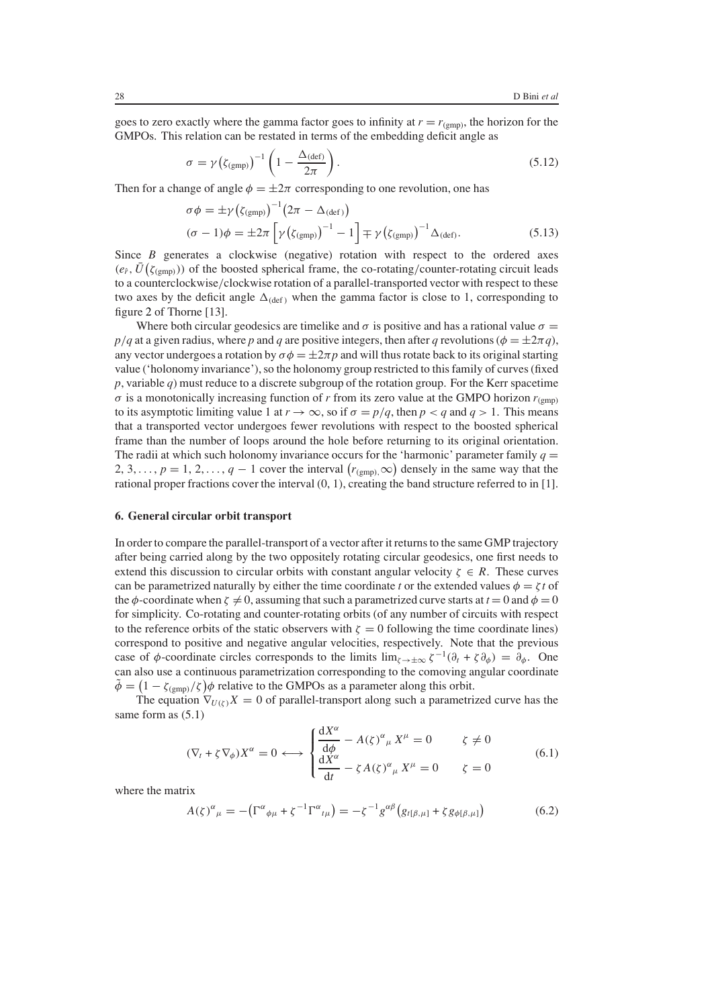goes to zero exactly where the gamma factor goes to infinity at  $r = r_{(gmp)}$ , the horizon for the GMPOs. This relation can be restated in terms of the embedding deficit angle as

$$
\sigma = \gamma \left( \zeta_{\text{(gmp)}} \right)^{-1} \left( 1 - \frac{\Delta_{\text{(def)}}}{2\pi} \right). \tag{5.12}
$$

Then for a change of angle  $\phi = \pm 2\pi$  corresponding to one revolution, one has

$$
\sigma \phi = \pm \gamma \left( \zeta_{\text{(gmp)}} \right)^{-1} \left( 2\pi - \Delta_{\text{(def)}} \right)
$$
  

$$
(\sigma - 1)\phi = \pm 2\pi \left[ \gamma \left( \zeta_{\text{(gmp)}} \right)^{-1} - 1 \right] \mp \gamma \left( \zeta_{\text{(gmp)}} \right)^{-1} \Delta_{\text{(def)}}.
$$
 (5.13)

Since *B* generates a clockwise (negative) rotation with respect to the ordered axes  $(e_f, \bar{U}(\zeta_{\text{(gmp)}}))$  of the boosted spherical frame, the co-rotating/counter-rotating circuit leads to a counterclockwise/clockwise rotation of a parallel-transported vector with respect to these two axes by the deficit angle  $\Delta_{\text{(def)}}$  when the gamma factor is close to 1, corresponding to figure [2](#page-16-0) of Thorne [13].

Where both circular geodesics are timelike and  $\sigma$  is positive and has a rational value  $\sigma =$  $p/q$  at a given radius, where *p* and *q* are positive integers, then after *q* revolutions ( $\phi = \pm 2\pi q$ ), any vector undergoes a rotation by  $\sigma \phi = \pm 2\pi p$  and will thus rotate back to its original starting value ('holonomy invariance'), so the holonomy group restricted to this family of curves (fixed *p*, variable *q*) must reduce to a discrete subgroup of the rotation group. For the Kerr spacetime  $\sigma$  is a monotonically increasing function of *r* from its zero value at the GMPO horizon  $r_{(gmp)}$ to its asymptotic limiting value 1 at  $r \to \infty$ , so if  $\sigma = p/q$ , then  $p < q$  and  $q > 1$ . This means that a transported vector undergoes fewer revolutions with respect to the boosted spherical frame than the number of loops around the hole before returning to its original orientation. The radii at which such holonomy invariance occurs for the 'harmonic' parameter family  $q =$ 2, 3, ...,  $p = 1, 2, ..., q - 1$  cover the interval  $(r_{(gmp)}, \infty)$  densely in the same way that the rational proper fractions cover the interval  $(0, 1)$  creating the band structure referred to in [1] rational proper fractions cover the interval (0, 1), creating the band structure referred to in [1].

## **6. General circular orbit transport**

In order to compare the parallel-transport of a vector after it returns to the same GMP trajectory after being carried along by the two oppositely rotating circular geodesics, one first needs to extend this discussion to circular orbits with constant angular velocity  $\zeta \in R$ . These curves can be parametrized naturally by either the time coordinate *t* or the extended values  $\phi = \zeta t$  of the  $\phi$ -coordinate when  $\zeta \neq 0$ , assuming that such a parametrized curve starts at  $t = 0$  and  $\phi = 0$ for simplicity. Co-rotating and counter-rotating orbits (of any number of circuits with respect to the reference orbits of the static observers with  $\zeta = 0$  following the time coordinate lines) correspond to positive and negative angular velocities, respectively. Note that the previous case of  $\phi$ -coordinate circles corresponds to the limits  $\lim_{\zeta \to \pm \infty} \zeta^{-1}(\partial_t + \zeta \partial_{\phi}) = \partial_{\phi}$ . One can also use a continuous parametrization corresponding to the comoving angular coordinate  $\tilde{\phi} = (1 - \zeta_{\text{(gmp)}}/\zeta) \phi$  relative to the GMPOs as a parameter along this orbit.<br>The equation  $\nabla_{\text{U(x)}} X = 0$  of parallel-transport along such a parametric

The equation  $\nabla_{U(\zeta)} X = 0$  of parallel-transport along such a parametrized curve has the same form as  $(5.1)$ 

$$
(\nabla_t + \zeta \nabla_{\phi}) X^{\alpha} = 0 \longleftrightarrow \begin{cases} \frac{dX^{\alpha}}{d\phi} - A(\zeta)^{\alpha}{}_{\mu} X^{\mu} = 0 & \zeta \neq 0\\ \frac{dX^{\alpha}}{dt} - \zeta A(\zeta)^{\alpha}{}_{\mu} X^{\mu} = 0 & \zeta = 0 \end{cases}
$$
(6.1)

where the matrix

$$
A(\zeta)^{\alpha}{}_{\mu} = -\left(\Gamma^{\alpha}{}_{\phi\mu} + \zeta^{-1}\Gamma^{\alpha}{}_{t\mu}\right) = -\zeta^{-1}g^{\alpha\beta}\left(g_{t[\beta,\mu]} + \zeta g_{\phi[\beta,\mu]}\right) \tag{6.2}
$$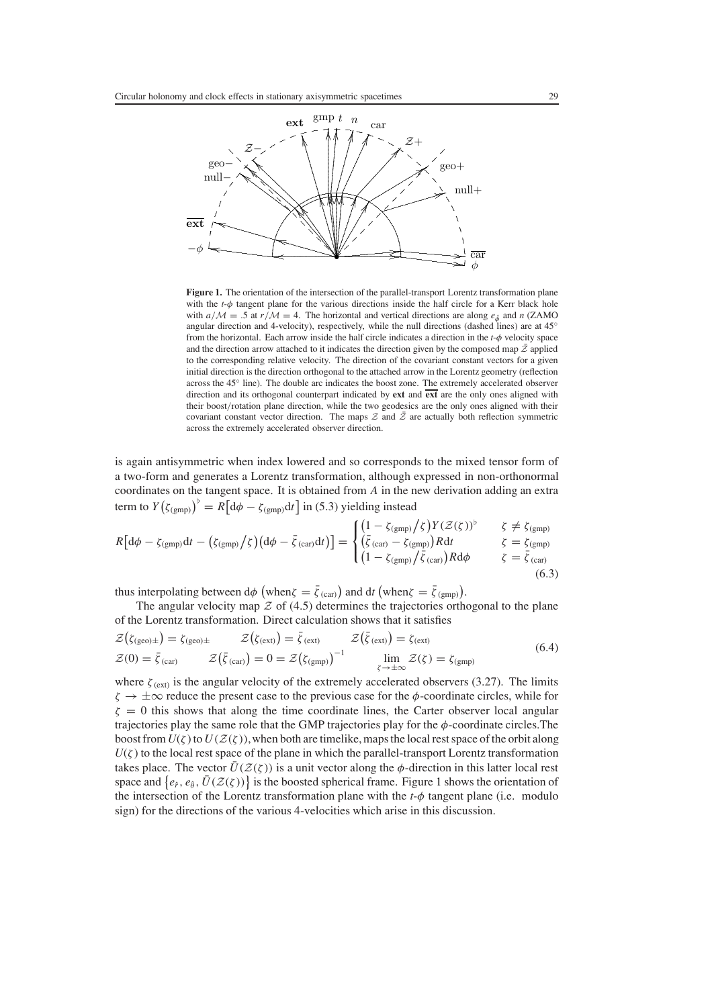

<span id="page-13-0"></span>Figure 1. The orientation of the intersection of the parallel-transport Lorentz transformation plane with the  $t$ - $\phi$  tangent plane for the various directions inside the half circle for a Kerr black hole with  $a/M = .5$  at  $r/M = 4$ . The horizontal and vertical directions are along  $e_{\hat{\theta}}$  and n (ZAMO angular direction and 4-velocity), respectively, while the null directions (dashed lines) are at 45° from the horizontal. Each arrow inside the half circle indicates a direction in the  $t-\phi$  velocity space and the direction arrow attached to it indicates the direction given by the composed map  $\bar{z}$  applied to the corresponding relative velocity. The direction of the covariant constant vectors for a given initial direction is the direction orthogonal to the attached arrow in the Lorentz geometry (reflection across the  $45^{\circ}$  line). The double arc indicates the boost zone. The extremely accelerated observer direction and its orthogonal counterpart indicated by ext and ext are the only ones aligned with their boost/rotation plane direction, while the two geodesics are the only ones aligned with their covariant constant vector direction. The maps  $\mathcal Z$  and  $\bar{\mathcal Z}$  are actually both reflection symmetric across the extremely accelerated observer direction.

is again antisymmetric when index lowered and so corresponds to the mixed tensor form of a two-form and generates a Lorentz transformation, although expressed in non-orthonormal coordinates on the tangent space. It is obtained from  $A$  in the new derivation adding an extra term to  $Y(\zeta_{(gmp)})^{\flat} = R \left[ d\phi - \zeta_{(gmp)} dt \right]$  in (5.3) yielding instead

$$
R\left[\mathrm{d}\phi - \zeta_{\text{(gmp)}}\mathrm{d}t - \left(\zeta_{\text{(gmp)}}\right)\zeta\right)\left(\mathrm{d}\phi - \bar{\zeta}_{\text{(car)}}\mathrm{d}t\right)\right] = \begin{cases} \left(1 - \zeta_{\text{(gmp)}}\right)\zeta\right)Y(Z(\zeta))^{\flat} & \zeta \neq \zeta_{\text{(gmp)}}\\ \left(\bar{\zeta}_{\text{(car)}} - \zeta_{\text{(gmp)}}\right)R\mathrm{d}t & \zeta = \bar{\zeta}_{\text{(gmp)}}\\ \left(1 - \zeta_{\text{(gmp)}}\right)\bar{\zeta}_{\text{(car)}}\right)R\mathrm{d}\phi & \zeta = \bar{\zeta}_{\text{(car)}} \end{cases}
$$
\n(6.3)

thus interpolating between  $d\phi$  (when  $\zeta = \bar{\zeta}_{(car)}$ ) and  $dt$  (when  $\zeta = \bar{\zeta}_{(gmp)}$ ).

The angular velocity map  $\mathcal Z$  of (4.5) determines the trajectories orthogonal to the plane of the Lorentz transformation. Direct calculation shows that it satisfies

$$
\mathcal{Z}(\zeta_{\text{(geo)}\pm}) = \zeta_{\text{(geo)}\pm} \qquad \mathcal{Z}(\zeta_{\text{(ext)}}) = \bar{\zeta}_{\text{(ext)}} \qquad \mathcal{Z}(\bar{\zeta}_{\text{(ext)}}) = \zeta_{\text{(ext)}} \n\mathcal{Z}(0) = \bar{\zeta}_{\text{(car)}} \qquad \mathcal{Z}(\bar{\zeta}_{\text{(car)}}) = 0 = \mathcal{Z}(\zeta_{\text{(gmp)}})^{-1} \qquad \lim_{\substack{\zeta \to +\infty \\ \zeta \to +\infty}} \mathcal{Z}(\zeta) = \zeta_{\text{(gmp)}} \qquad (6.4)
$$

where  $\zeta_{(ext)}$  is the angular velocity of the extremely accelerated observers (3.27). The limits  $\zeta \to \pm \infty$  reduce the present case to the previous case for the  $\phi$ -coordinate circles, while for  $\zeta = 0$  this shows that along the time coordinate lines, the Carter observer local angular trajectories play the same role that the GMP trajectories play for the  $\phi$ -coordinate circles. The boost from  $U(\zeta)$  to  $U(\mathcal{Z}(\zeta))$ , when both are timelike, maps the local rest space of the orbit along  $U(\zeta)$  to the local rest space of the plane in which the parallel-transport Lorentz transformation takes place. The vector  $\bar{U}(\mathcal{Z}(\zeta))$  is a unit vector along the  $\phi$ -direction in this latter local rest space and  $\{e_{\hat{r}}, e_{\hat{\theta}}, \bar{U}(\mathcal{Z}(\zeta))\}$  is the boosted spherical frame. Figure 1 shows the orientation of the intersection of the Lorentz transformation plane with the  $t-\phi$  tangent plane (i.e. modulo sign) for the directions of the various 4-velocities which arise in this discussion.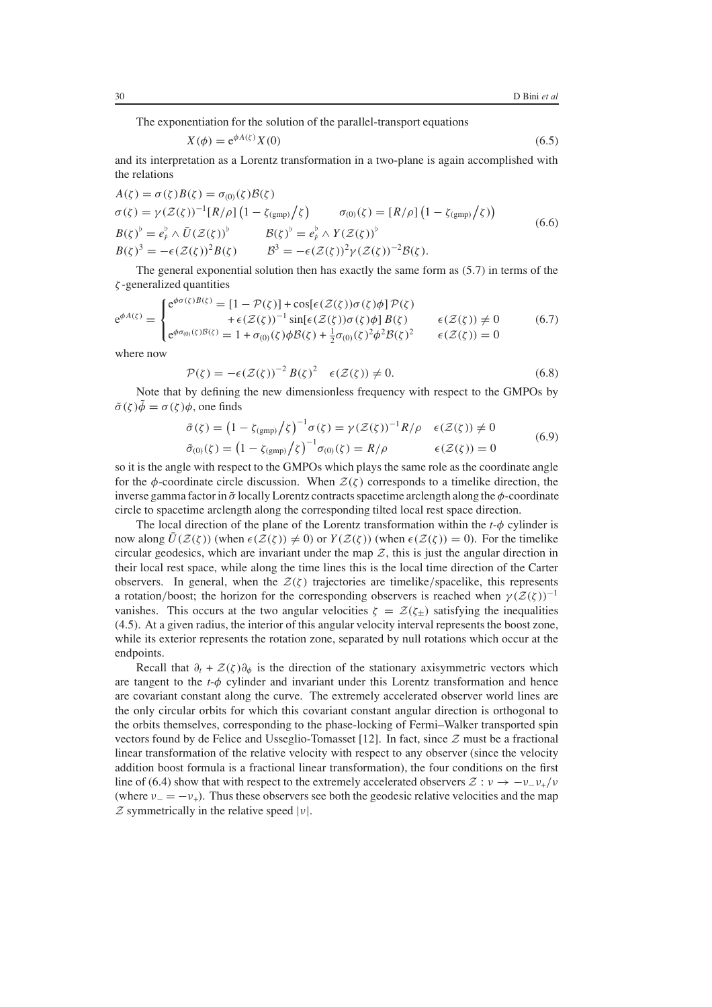The exponentiation for the solution of the parallel-transport equations

$$
X(\phi) = e^{\phi A(\zeta)} X(0) \tag{6.5}
$$

and its interpretation as a Lorentz transformation in a two-plane is again accomplished with the relations

$$
A(\zeta) = \sigma(\zeta)B(\zeta) = \sigma_{(0)}(\zeta)B(\zeta)
$$
  
\n
$$
\sigma(\zeta) = \gamma(\mathcal{Z}(\zeta))^{-1}[R/\rho]\left(1 - \zeta_{(\text{gmp})}/\zeta\right) \qquad \sigma_{(0)}(\zeta) = [R/\rho]\left(1 - \zeta_{(\text{gmp})}/\zeta\right)
$$
  
\n
$$
B(\zeta)^{b} = e_{\rho}^{b} \wedge \bar{U}(\mathcal{Z}(\zeta))^{b} \qquad \qquad B(\zeta)^{b} = e_{\rho}^{b} \wedge Y(\mathcal{Z}(\zeta))^{b}
$$
  
\n
$$
B(\zeta)^{3} = -\epsilon(\mathcal{Z}(\zeta))^{2}B(\zeta) \qquad \qquad \qquad B^{3} = -\epsilon(\mathcal{Z}(\zeta))^{2}\gamma(\mathcal{Z}(\zeta))^{-2}B(\zeta).
$$
\n(6.6)

The general exponential solution then has exactly the same form as (5.7) in terms of the ζ -generalized quantities

$$
e^{\phi A(\zeta)} = \begin{cases} e^{\phi \sigma(\zeta) B(\zeta)} = [1 - \mathcal{P}(\zeta)] + \cos[\epsilon(\mathcal{Z}(\zeta))\sigma(\zeta)\phi] \mathcal{P}(\zeta) \\ \qquad + \epsilon(\mathcal{Z}(\zeta))^{-1} \sin[\epsilon(\mathcal{Z}(\zeta))\sigma(\zeta)\phi] B(\zeta) \\ e^{\phi \sigma_{(0)}(\zeta) B(\zeta)} = 1 + \sigma_{(0)}(\zeta)\phi B(\zeta) + \frac{1}{2}\sigma_{(0)}(\zeta)^2 \phi^2 B(\zeta)^2 \qquad \epsilon(\mathcal{Z}(\zeta)) = 0 \end{cases} \tag{6.7}
$$

where now

$$
\mathcal{P}(\zeta) = -\epsilon(\mathcal{Z}(\zeta))^{-2} B(\zeta)^2 \quad \epsilon(\mathcal{Z}(\zeta)) \neq 0. \tag{6.8}
$$

Note that by defining the new dimensionless frequency with respect to the GMPOs by  $\tilde{\sigma}(\zeta)\tilde{\phi} = \sigma(\zeta)\phi$ , one finds

$$
\tilde{\sigma}(\zeta) = \left(1 - \zeta_{(\text{gmp})}/\zeta\right)^{-1} \sigma(\zeta) = \gamma (\mathcal{Z}(\zeta))^{-1} R/\rho \quad \epsilon(\mathcal{Z}(\zeta)) \neq 0
$$
  
\n
$$
\tilde{\sigma}_{(0)}(\zeta) = \left(1 - \zeta_{(\text{gmp})}/\zeta\right)^{-1} \sigma_{(0)}(\zeta) = R/\rho \qquad \epsilon(\mathcal{Z}(\zeta)) = 0
$$
\n(6.9)

ζ so it is the angle with respect to the GMPOs which plays the same role as the coordinate angle for the  $\phi$ -coordinate circle discussion. When  $\mathcal{Z}(\zeta)$  corresponds to a timelike direction, the inverse gamma factor in  $\tilde{\sigma}$  locally Lorentz contracts spacetime arclength along the  $\phi$ -coordinate circle to spacetime arclength along the corresponding tilted local rest space direction.

The local direction of the plane of the Lorentz transformation within the *<sup>t</sup>*-φ cylinder is now along  $\overline{U}(\mathcal{Z}(\zeta))$  (when  $\epsilon(\mathcal{Z}(\zeta)) \neq 0$ ) or  $Y(\mathcal{Z}(\zeta))$  (when  $\epsilon(\mathcal{Z}(\zeta)) = 0$ ). For the timelike circular geodesics, which are invariant under the map  $Z$ , this is just the angular direction in their local rest space, while along the time lines this is the local time direction of the Carter observers. In general, when the  $\mathcal{Z}(\zeta)$  trajectories are timelike/spacelike, this represents a rotation/boost; the horizon for the corresponding observers is reached when  $\gamma(\mathcal{Z}(\zeta))^{-1}$ vanishes. This occurs at the two angular velocities  $\zeta = \mathcal{Z}(\zeta)$  satisfying the inequalities (4.5). At a given radius, the interior of this angular velocity interval represents the boost zone, while its exterior represents the rotation zone, separated by null rotations which occur at the endpoints.

Recall that  $\partial_t + \mathcal{Z}(\zeta)\partial_\phi$  is the direction of the stationary axisymmetric vectors which are tangent to the  $t-\phi$  cylinder and invariant under this Lorentz transformation and hence are covariant constant along the curve. The extremely accelerated observer world lines are the only circular orbits for which this covariant constant angular direction is orthogonal to the orbits themselves, corresponding to the phase-locking of Fermi–Walker transported spin vectors found by de Felice and Usseglio-Tomasset [12]. In fact, since *Z* must be a fractional linear transformation of the relative velocity with respect to any observer (since the velocity addition boost formula is a fractional linear transformation), the four conditions on the first line of (6.4) show that with respect to the extremely accelerated observers  $\mathcal{Z}: \nu \to -\nu_-\nu_+\nu_+$ (where  $v = -v_{+}$ ). Thus these observers see both the geodesic relative velocities and the map *Z* symmetrically in the relative speed  $|v|$ .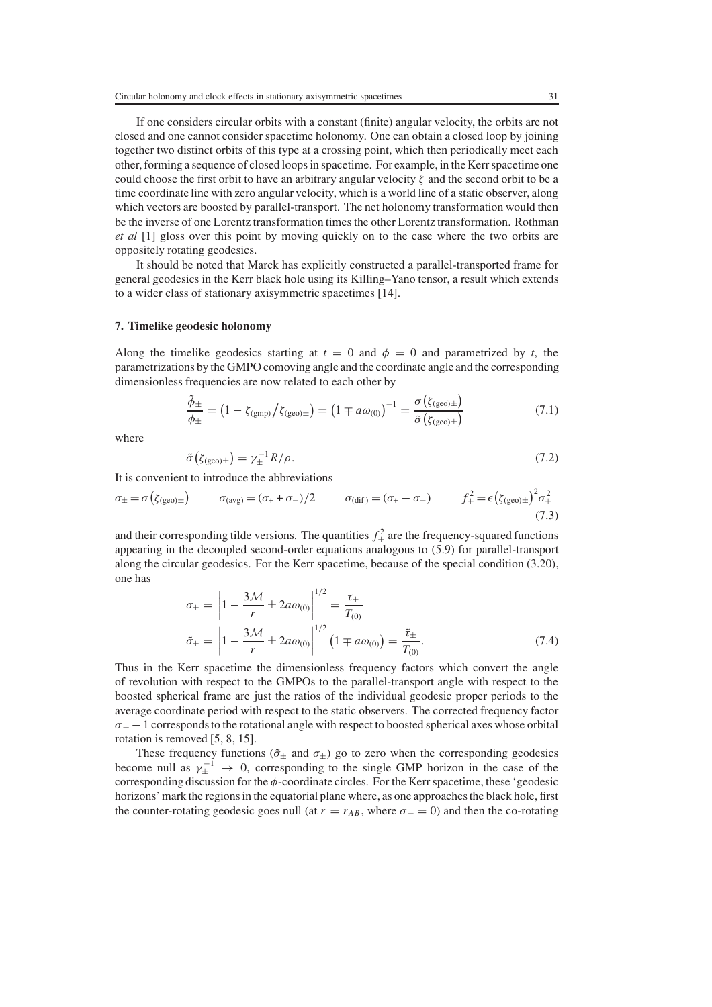If one considers circular orbits with a constant (finite) angular velocity, the orbits are not closed and one cannot consider spacetime holonomy. One can obtain a closed loop by joining together two distinct orbits of this type at a crossing point, which then periodically meet each other, forming a sequence of closed loops in spacetime. For example, in the Kerr spacetime one could choose the first orbit to have an arbitrary angular velocity  $\zeta$  and the second orbit to be a time coordinate line with zero angular velocity, which is a world line of a static observer, along which vectors are boosted by parallel-transport. The net holonomy transformation would then be the inverse of one Lorentz transformation times the other Lorentz transformation. Rothman *et al* [1] gloss over this point by moving quickly on to the case where the two orbits are oppositely rotating geodesics.

It should be noted that Marck has explicitly constructed a parallel-transported frame for general geodesics in the Kerr black hole using its Killing–Yano tensor, a result which extends to a wider class of stationary axisymmetric spacetimes [14].

## **7. Timelike geodesic holonomy**

Along the timelike geodesics starting at  $t = 0$  and  $\phi = 0$  and parametrized by *t*, the parametrizations by the GMPO comoving angle and the coordinate angle and the corresponding dimensionless frequencies are now related to each other by

$$
\frac{\tilde{\phi}_{\pm}}{\phi_{\pm}} = \left(1 - \zeta_{\text{(gmp)}} / \zeta_{\text{(geo)}\pm}\right) = \left(1 \mp a\omega_{(0)}\right)^{-1} = \frac{\sigma\left(\zeta_{\text{(geo)}\pm}\right)}{\tilde{\sigma}\left(\zeta_{\text{(geo)}\pm}\right)}\tag{7.1}
$$

where

$$
\tilde{\sigma}\left(\zeta_{\text{(geo)}\pm}\right) = \gamma_{\pm}^{-1} R/\rho. \tag{7.2}
$$

It is convenient to introduce the abbreviations

$$
\sigma_{\pm} = \sigma\left(\zeta_{\text{(geo)}\pm}\right) \qquad \sigma_{\text{(avg)}} = (\sigma_{+} + \sigma_{-})/2 \qquad \sigma_{\text{(dif)}} = (\sigma_{+} - \sigma_{-}) \qquad f_{\pm}^{2} = \epsilon\left(\zeta_{\text{(geo)}\pm}\right)^{2} \sigma_{\pm}^{2} \tag{7.3}
$$

and their corresponding tilde versions. The quantities  $f_{\pm}^2$  are the frequency-squared functions<br>appearing in the decoupled second-order equations analogous to (5.9) for parallel-transport appearing in the decoupled second-order equations analogous to (5.9) for parallel-transport along the circular geodesics. For the Kerr spacetime, because of the special condition (3.20), one has

$$
\sigma_{\pm} = \left| 1 - \frac{3\mathcal{M}}{r} \pm 2a\omega_{(0)} \right|^{1/2} = \frac{\tau_{\pm}}{T_{(0)}}
$$

$$
\tilde{\sigma}_{\pm} = \left| 1 - \frac{3\mathcal{M}}{r} \pm 2a\omega_{(0)} \right|^{1/2} \left( 1 \mp a\omega_{(0)} \right) = \frac{\tilde{\tau}_{\pm}}{T_{(0)}}.
$$
 (7.4)  
Thus in the Kerr spacetime the dimensionless frequency factors which convert the angle

of revolution with respect to the GMPOs to the parallel-transport angle with respect to the boosted spherical frame are just the ratios of the individual geodesic proper periods to the average coordinate period with respect to the static observers. The corrected frequency factor  $\sigma_{\pm}$  – 1 corresponds to the rotational angle with respect to boosted spherical axes whose orbital rotation is removed [5, 8, 15].

These frequency functions ( $\tilde{\sigma}_{\pm}$  and  $\sigma_{\pm}$ ) go to zero when the corresponding geodesics become null as  $\gamma_{\pm}^{-1} \rightarrow 0$ , corresponding to the single GMP horizon in the case of the corresponding discussion for the  $\phi_{\pm}$  coordinate circles. For the Kerr spacetime, these (reodesic corresponding discussion for the  $\phi$ -coordinate circles. For the Kerr spacetime, these 'geodesic horizons' mark the regions in the equatorial plane where, as one approaches the black hole, first the counter-rotating geodesic goes null (at  $r = r_{AB}$ , where  $\sigma = 0$ ) and then the co-rotating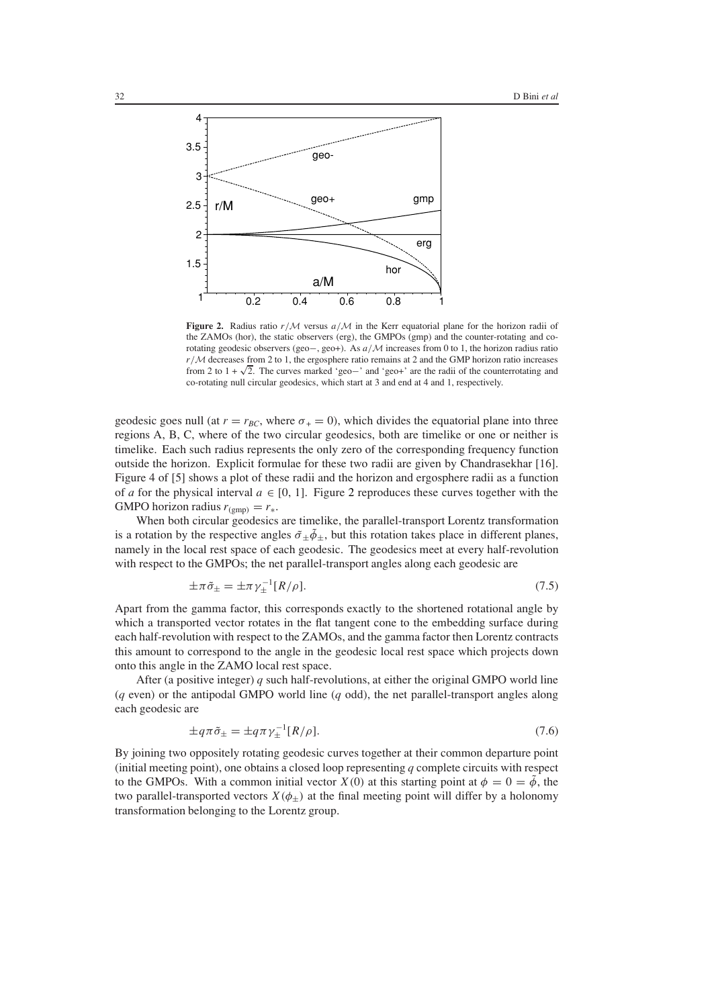

<span id="page-16-0"></span>**Figure 2.** Radius ratio r/*<sup>M</sup>* versus a/*<sup>M</sup>* in the Kerr equatorial plane for the horizon radii of the ZAMOs (hor), the static observers (erg), the GMPOs (gmp) and the counter-rotating and corotating geodesic observers (geo−, geo+). As a/*<sup>M</sup>* increases from 0 to 1, the horizon radius ratio r/*<sup>M</sup>* decreases from 2 to 1, the ergosphere ratio remains at 2 and the GMP horizon ratio increases  $r/M$  decreases from 2 to 1, the ergosphere ratio remains at 2 and the GMP norizon ratio increases<br>from 2 to 1 +  $\sqrt{2}$ . The curves marked 'geo−' and 'geo+' are the radii of the counterrotating and co-rotating null circular geodesics, which start at 3 and end at 4 and 1, respectively.

geodesic goes null (at  $r = r_{BC}$ , where  $\sigma_{+} = 0$ ), which divides the equatorial plane into three regions A, B, C, where of the two circular geodesics, both are timelike or one or neither is timelike. Each such radius represents the only zero of the corresponding frequency function outside the horizon. Explicit formulae for these two radii are given by Chandrasekhar [16]. Figure 4 of [5] shows a plot of these radii and the horizon and ergosphere radii as a function of *a* for the physical interval  $a \in [0, 1]$ . Figure [2](#page-16-0) reproduces these curves together with the GMPO horizon radius  $r_{\text{(gmp)}} = r_*$ .

When both circular geodesics are timelike, the parallel-transport Lorentz transformation is a rotation by the respective angles  $\tilde{\sigma}_{\pm} \tilde{\phi}_{\pm}$ , but this rotation takes place in different planes, namely in the local rest space of each geodesic. The geodesics meet at every half-revolution with respect to the GMPOs; the net parallel-transport angles along each geodesic are

$$
\pm \pi \tilde{\sigma}_{\pm} = \pm \pi \gamma_{\pm}^{-1} [R/\rho]. \tag{7.5}
$$

Apart from the gamma factor, this corresponds exactly to the shortened rotational angle by which a transported vector rotates in the flat tangent cone to the embedding surface during each half-revolution with respect to the ZAMOs, and the gamma factor then Lorentz contracts this amount to correspond to the angle in the geodesic local rest space which projects down onto this angle in the ZAMO local rest space.

After (a positive integer) *q* such half-revolutions, at either the original GMPO world line (*q* even) or the antipodal GMPO world line (*q* odd), the net parallel-transport angles along each geodesic are

$$
\pm q\pi\tilde{\sigma}_{\pm} = \pm q\pi\gamma_{\pm}^{-1}[R/\rho].\tag{7.6}
$$

By joining two oppositely rotating geodesic curves together at their common departure point (initial meeting point), one obtains a closed loop representing *q* complete circuits with respect to the GMPOs. With a common initial vector  $X(0)$  at this starting point at  $\phi = 0 = \tilde{\phi}$ , the two parallel-transported vectors  $X(\phi_{+})$  at the final meeting point will differ by a holonomy transformation belonging to the Lorentz group.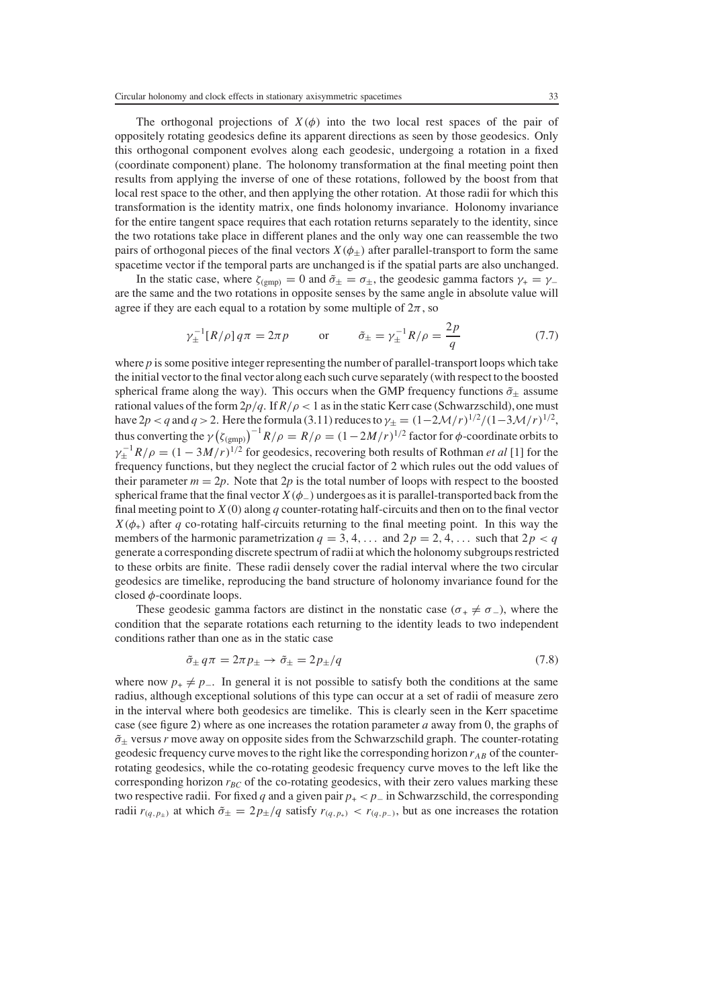The orthogonal projections of  $X(\phi)$  into the two local rest spaces of the pair of oppositely rotating geodesics define its apparent directions as seen by those geodesics. Only this orthogonal component evolves along each geodesic, undergoing a rotation in a fixed (coordinate component) plane. The holonomy transformation at the final meeting point then results from applying the inverse of one of these rotations, followed by the boost from that local rest space to the other, and then applying the other rotation. At those radii for which this transformation is the identity matrix, one finds holonomy invariance. Holonomy invariance for the entire tangent space requires that each rotation returns separately to the identity, since the two rotations take place in different planes and the only way one can reassemble the two pairs of orthogonal pieces of the final vectors  $X(\phi_{\pm})$  after parallel-transport to form the same spacetime vector if the temporal parts are unchanged is if the spatial parts are also unchanged.

In the static case, where  $\zeta_{(gmp)} = 0$  and  $\tilde{\sigma}_{\pm} = \sigma_{\pm}$ , the geodesic gamma factors  $\gamma_+ = \gamma_$ are the same and the two rotations in opposite senses by the same angle in absolute value will agree if they are each equal to a rotation by some multiple of  $2\pi$ , so

$$
\gamma_{\pm}^{-1}[R/\rho]q\pi = 2\pi p
$$
 or  $\tilde{\sigma}_{\pm} = \gamma_{\pm}^{-1}R/\rho = \frac{2p}{q}$  (7.7)

where *p* is some positive integer representing the number of parallel-transport loops which take the initial vector to the final vector along each such curve separately (with respect to the boosted spherical frame along the way). This occurs when the GMP frequency functions  $\tilde{\sigma}_+$  assume rational values of the form  $2p/q$ . If  $R/\rho < 1$  as in the static Kerr case (Schwarzschild), one must have 2*p* < *q* and *q* > 2. Here the formula (3.11) reduces to  $\gamma_{\pm} = (1 - 2\mathcal{M}/r)^{1/2}/(1 - 3\mathcal{M}/r)^{1/2}$ , thus converting the  $\gamma (\zeta_{(gmp)})^{-1} R/\rho = R/\rho = (1 - 2M/r)^{1/2}$  factor for  $\phi$ -coordinate orbits to thus converting the  $\gamma(\zeta_{(gmp)}) - R/\rho = R/\rho = (1 - 2M/r)^{1/2}$  for geodesics, recovering both results of Rothman *et al* [1] for the  $\gamma_{\pm}^{-1}R/\rho = (1 - 3M/r)^{1/2}$  for geodesics, recovering both results of Rothman *et al* [1] for t frequency functions, but they neglect the crucial factor of 2 which rules out the odd values of their parameter  $m = 2p$ . Note that  $2p$  is the total number of loops with respect to the boosted spherical frame that the final vector  $X(\phi_-)$  undergoes as it is parallel-transported back from the final meeting point to  $X(0)$  along  $q$  counter-rotating half-circuits and then on to the final vector  $X(\phi_{+})$  after *q* co-rotating half-circuits returning to the final meeting point. In this way the members of the harmonic parametrization  $q = 3, 4, \ldots$  and  $2p = 2, 4, \ldots$  such that  $2p < q$ generate a corresponding discrete spectrum of radii at which the holonomy subgroups restricted to these orbits are finite. These radii densely cover the radial interval where the two circular geodesics are timelike, reproducing the band structure of holonomy invariance found for the closed  $\phi$ -coordinate loops.

These geodesic gamma factors are distinct in the nonstatic case ( $\sigma_+ \neq \sigma_-$ ), where the condition that the separate rotations each returning to the identity leads to two independent conditions rather than one as in the static case

$$
\tilde{\sigma}_{\pm} q \pi = 2\pi p_{\pm} \to \tilde{\sigma}_{\pm} = 2p_{\pm}/q \tag{7.8}
$$

where now  $p_+ \neq p_-\$ . In general it is not possible to satisfy both the conditions at the same radius, although exceptional solutions of this type can occur at a set of radii of measure zero in the interval where both geodesics are timelike. This is clearly seen in the Kerr spacetime case (see figure [2\)](#page-16-0) where as one increases the rotation parameter *a* away from 0, the graphs of  $\tilde{\sigma}_{\pm}$  versus *r* move away on opposite sides from the Schwarzschild graph. The counter-rotating geodesic frequency curve moves to the right like the corresponding horizon  $r_{AB}$  of the counterrotating geodesics, while the co-rotating geodesic frequency curve moves to the left like the corresponding horizon  $r_{BC}$  of the co-rotating geodesics, with their zero values marking these two respective radii. For fixed *<sup>q</sup>* and a given pair *<sup>p</sup>*<sup>+</sup> <sup>&</sup>lt; *<sup>p</sup>*<sup>−</sup> in Schwarzschild, the corresponding radii  $r_{(q,p_{\pm})}$  at which  $\tilde{\sigma}_{\pm} = 2p_{\pm}/q$  satisfy  $r_{(q,p_{\pm})} < r_{(q,p_{\pm})}$ , but as one increases the rotation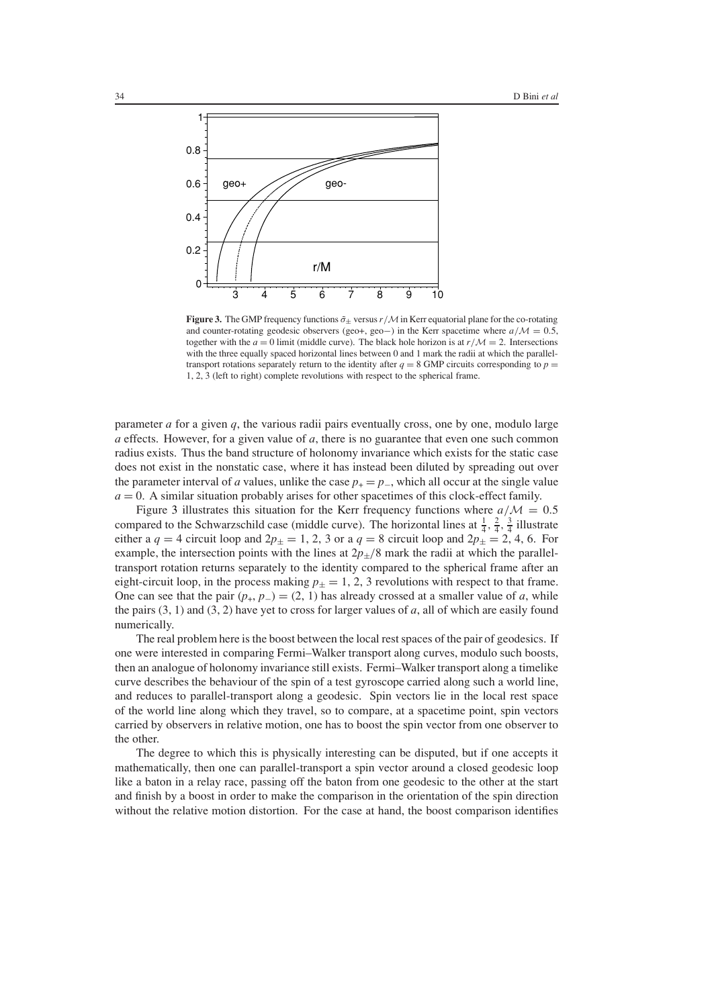

<span id="page-18-0"></span>**Figure 3.** The GMP frequency functions  $\tilde{\sigma}_{\pm}$  versus  $r/M$  in Kerr equatorial plane for the co-rotating and counter-rotating geodesic observers (geo+, geo−) in the Kerr spacetime where  $a/M = 0.5$ , together with the  $a = 0$  limit (middle curve). The black hole horizon is at  $r/M = 2$ . Intersections with the three equally spaced horizontal lines between 0 and 1 mark the radii at which the paralleltransport rotations separately return to the identity after  $q = 8$  GMP circuits corresponding to  $p =$ 1, 2, 3 (left to right) complete revolutions with respect to the spherical frame.

parameter *a* for a given *q*, the various radii pairs eventually cross, one by one, modulo large *a* effects. However, for a given value of *a*, there is no guarantee that even one such common radius exists. Thus the band structure of holonomy invariance which exists for the static case does not exist in the nonstatic case, where it has instead been diluted by spreading out over the parameter interval of *a* values, unlike the case  $p_{+} = p_{-}$ , which all occur at the single value  $a = 0$ . A similar situation probably arises for other spacetimes of this clock-effect family.

Figure [3](#page-18-0) illustrates this situation for the Kerr frequency functions where  $a/M = 0.5$ compared to the Schwarzschild case (middle curve). The horizontal lines at  $\frac{1}{4}$ ,  $\frac{2}{4}$ ,  $\frac{3}{4}$  illustrate<br>either a  $a = 4$  circuit loop and  $2p_1 = 1, 2, 3$  or a  $a = 8$  circuit loop and  $2p_1 = 2, 4, 6$ . For either a  $q = 4$  circuit loop and  $2p_{\pm} = 1, 2, 3$  or a  $q = 8$  circuit loop and  $2p_{\pm} = 2, 4, 6$ . For example, the intersection points with the lines at  $2p_{+}/8$  mark the radii at which the paralleltransport rotation returns separately to the identity compared to the spherical frame after an eight-circuit loop, in the process making  $p_{\pm} = 1, 2, 3$  revolutions with respect to that frame. One can see that the pair  $(p_+, p_-) = (2, 1)$  has already crossed at a smaller value of *a*, while the pairs (3, 1) and (3, 2) have yet to cross for larger values of *a*, all of which are easily found numerically.

The real problem here is the boost between the local rest spaces of the pair of geodesics. If one were interested in comparing Fermi–Walker transport along curves, modulo such boosts, then an analogue of holonomy invariance still exists. Fermi–Walker transport along a timelike curve describes the behaviour of the spin of a test gyroscope carried along such a world line, and reduces to parallel-transport along a geodesic. Spin vectors lie in the local rest space of the world line along which they travel, so to compare, at a spacetime point, spin vectors carried by observers in relative motion, one has to boost the spin vector from one observer to the other.

The degree to which this is physically interesting can be disputed, but if one accepts it mathematically, then one can parallel-transport a spin vector around a closed geodesic loop like a baton in a relay race, passing off the baton from one geodesic to the other at the start and finish by a boost in order to make the comparison in the orientation of the spin direction without the relative motion distortion. For the case at hand, the boost comparison identifies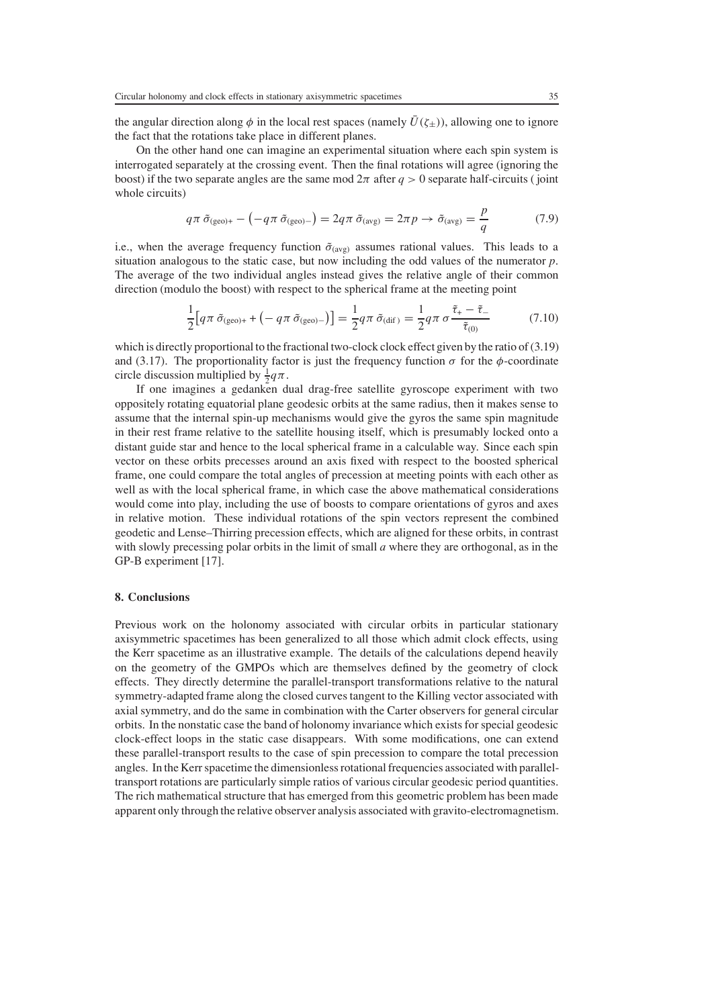the angular direction along  $\phi$  in the local rest spaces (namely  $\bar{U}(\zeta_{\pm})$ ), allowing one to ignore the fact that the rotations take place in different planes.

On the other hand one can imagine an experimental situation where each spin system is interrogated separately at the crossing event. Then the final rotations will agree (ignoring the boost) if the two separate angles are the same mod  $2\pi$  after  $q > 0$  separate half-circuits (joint whole circuits)

$$
q\pi \,\tilde{\sigma}_{\text{(geo)+}} - \left(-q\pi \,\tilde{\sigma}_{\text{(geo)-}}\right) = 2q\pi \,\tilde{\sigma}_{\text{(avg)}} = 2\pi p \to \tilde{\sigma}_{\text{(avg)}} = \frac{p}{q} \tag{7.9}
$$

i.e., when the average frequency function  $\tilde{\sigma}_{(avg)}$  assumes rational values. This leads to a situation analogous to the static case, but now including the odd values of the numerator n situation analogous to the static case, but now including the odd values of the numerator *p*. The average of the two individual angles instead gives the relative angle of their common direction (modulo the boost) with respect to the spherical frame at the meeting point

$$
\frac{1}{2} \Big[ q \pi \, \tilde{\sigma}_{\text{(geo)+}} + \big( -q \pi \, \tilde{\sigma}_{\text{(geo)-}} \big) \Big] = \frac{1}{2} q \pi \, \tilde{\sigma}_{\text{(dif)}} = \frac{1}{2} q \pi \, \sigma \, \frac{\tilde{\tau}_{+} - \tilde{\tau}_{-}}{\tilde{\tau}_{(0)}} \tag{7.10}
$$

which is directly proportional to the fractional two-clock clock effect given by the ratio of (3.19) and (3.17). The proportionality factor is just the frequency function  $\sigma$  for the  $\phi$ -coordinate circle discussion multiplied by  $\frac{1}{2}q\pi$ .<br>If one imagines a gedanken d

If one imagines a gedanken dual drag-free satellite gyroscope experiment with two oppositely rotating equatorial plane geodesic orbits at the same radius, then it makes sense to assume that the internal spin-up mechanisms would give the gyros the same spin magnitude in their rest frame relative to the satellite housing itself, which is presumably locked onto a distant guide star and hence to the local spherical frame in a calculable way. Since each spin vector on these orbits precesses around an axis fixed with respect to the boosted spherical frame, one could compare the total angles of precession at meeting points with each other as well as with the local spherical frame, in which case the above mathematical considerations would come into play, including the use of boosts to compare orientations of gyros and axes in relative motion. These individual rotations of the spin vectors represent the combined geodetic and Lense–Thirring precession effects, which are aligned for these orbits, in contrast with slowly precessing polar orbits in the limit of small *a* where they are orthogonal, as in the GP-B experiment [17].

## **8. Conclusions**

Previous work on the holonomy associated with circular orbits in particular stationary axisymmetric spacetimes has been generalized to all those which admit clock effects, using the Kerr spacetime as an illustrative example. The details of the calculations depend heavily on the geometry of the GMPOs which are themselves defined by the geometry of clock effects. They directly determine the parallel-transport transformations relative to the natural symmetry-adapted frame along the closed curves tangent to the Killing vector associated with axial symmetry, and do the same in combination with the Carter observers for general circular orbits. In the nonstatic case the band of holonomy invariance which exists for special geodesic clock-effect loops in the static case disappears. With some modifications, one can extend these parallel-transport results to the case of spin precession to compare the total precession angles. In the Kerr spacetime the dimensionless rotational frequencies associated with paralleltransport rotations are particularly simple ratios of various circular geodesic period quantities. The rich mathematical structure that has emerged from this geometric problem has been made apparent only through the relative observer analysis associated with gravito-electromagnetism.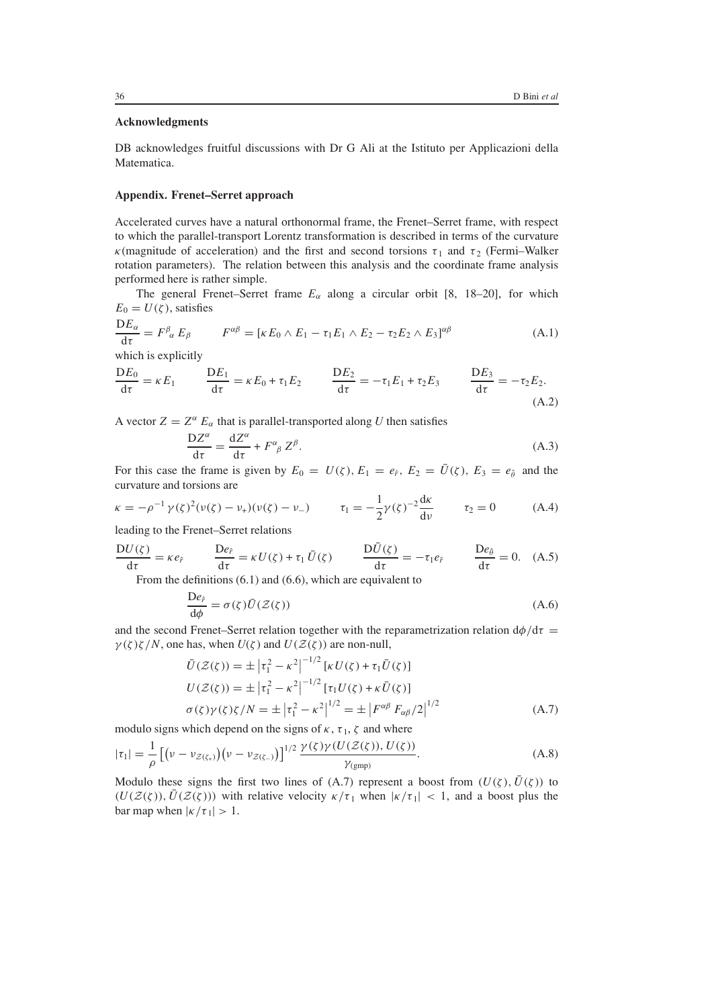## **Acknowledgments**

DB acknowledges fruitful discussions with Dr G Ali at the Istituto per Applicazioni della Matematica.

## **Appendix. Frenet–Serret approach**

Accelerated curves have a natural orthonormal frame, the Frenet–Serret frame, with respect to which the parallel-transport Lorentz transformation is described in terms of the curvature κ(magnitude of acceleration) and the first and second torsions  $\tau_1$  and  $\tau_2$  (Fermi–Walker rotation parameters). The relation between this analysis and the coordinate frame analysis performed here is rather simple.

The general Frenet–Serret frame  $E_\alpha$  along a circular orbit [8, 18–20], for which  $E_0 = U(\zeta)$ , satisfies

$$
\frac{DE_{\alpha}}{d\tau} = F^{\beta}_{\alpha} E_{\beta} \qquad F^{\alpha\beta} = [\kappa E_0 \wedge E_1 - \tau_1 E_1 \wedge E_2 - \tau_2 E_2 \wedge E_3]^{\alpha\beta} \tag{A.1}
$$
  
which is explicitly

$$
\frac{DE_0}{d\tau} = \kappa E_1 \qquad \frac{DE_1}{d\tau} = \kappa E_0 + \tau_1 E_2 \qquad \frac{DE_2}{d\tau} = -\tau_1 E_1 + \tau_2 E_3 \qquad \frac{DE_3}{d\tau} = -\tau_2 E_2.
$$
\n(A.2)

A vector  $Z = Z^{\alpha} E_{\alpha}$  that is parallel-transported along *U* then satisfies

$$
\frac{DZ^{\alpha}}{d\tau} = \frac{dZ^{\alpha}}{d\tau} + F^{\alpha}{}_{\beta} Z^{\beta}.
$$
\n(A.3)

\nthe form *i* is given by  $F_{i} = H(x) - F_{i} = \bar{H}(x) - F_{i}$ , and the

For this case the frame is given by  $E_0 = U(\zeta)$ ,  $E_1 = e_f$ ,  $E_2 = \bar{U}(\zeta)$ ,  $E_3 = e_{\hat{\theta}}$  and the curvature and torsions are curvature and torsions are

$$
\kappa = -\rho^{-1} \gamma(\zeta)^2 (\nu(\zeta) - \nu_+)(\nu(\zeta) - \nu_-) \qquad \tau_1 = -\frac{1}{2} \gamma(\zeta)^{-2} \frac{d\kappa}{d\nu} \qquad \tau_2 = 0 \tag{A.4}
$$

leading to the Frenet–Serret relations

$$
\frac{DU(\zeta)}{d\tau} = \kappa e_{\hat{r}} \qquad \frac{De_{\hat{r}}}{d\tau} = \kappa U(\zeta) + \tau_1 \bar{U}(\zeta) \qquad \frac{D\bar{U}(\zeta)}{d\tau} = -\tau_1 e_{\hat{r}} \qquad \frac{De_{\hat{\theta}}}{d\tau} = 0. \quad (A.5)
$$
  
From the definitions (6.1) and (6.6), which are equivalent to

$$
\frac{\text{De}_{\hat{r}}}{d\phi} = \sigma(\zeta)\bar{U}(\mathcal{Z}(\zeta))\tag{A.6}
$$

and the second Frenet–Serret relation together with the reparametrization relation  $d\phi/d\tau = \gamma(\zeta)\zeta/N$  one has when  $U(\zeta)$  and  $U(\zeta(\zeta))$  are non-null  $\gamma(\zeta)\zeta/N$ , one has, when  $U(\zeta)$  and  $U(\mathcal{Z}(\zeta))$  are non-null,

$$
\bar{U}(\mathcal{Z}(\zeta)) = \pm |\tau_1^2 - \kappa^2|^{-1/2} [\kappa U(\zeta) + \tau_1 \bar{U}(\zeta)]
$$
  
\n
$$
U(\mathcal{Z}(\zeta)) = \pm |\tau_1^2 - \kappa^2|^{-1/2} [\tau_1 U(\zeta) + \kappa \bar{U}(\zeta)]
$$
  
\n
$$
\sigma(\zeta)\gamma(\zeta)\zeta/N = \pm |\tau_1^2 - \kappa^2|^{1/2} = \pm |F^{\alpha\beta} F_{\alpha\beta}/2|^{1/2}
$$
\n(A.7)

modulo signs which depend on the signs of  $\kappa$ ,  $\tau_1$ ,  $\zeta$  and where

$$
|\tau_1| = \frac{1}{\rho} \left[ \left( \nu - \nu_{\mathcal{Z}(\zeta_+)} \right) \left( \nu - \nu_{\mathcal{Z}(\zeta_-)} \right) \right]^{1/2} \frac{\gamma(\zeta) \gamma(U(\mathcal{Z}(\zeta)), U(\zeta))}{\gamma_{\text{(gmp)}}}.
$$
\n(A.8)

Modulo these signs the first two lines of (A.7) represent a boost from  $(U(\zeta), \bar{U}(\zeta))$  to  $(U(\zeta(\zeta), \bar{U}(\zeta))$  with relative velocity  $\kappa/\tau$ , when  $|\kappa/\tau| < 1$  and a boost plus the  $(U(\mathcal{Z}(\zeta)), \overline{U}(\mathcal{Z}(\zeta)))$  with relative velocity  $\kappa/\tau_1$  when  $|\kappa/\tau_1| < 1$ , and a boost plus the bar map when  $|\kappa/\tau_1| > 1$ .